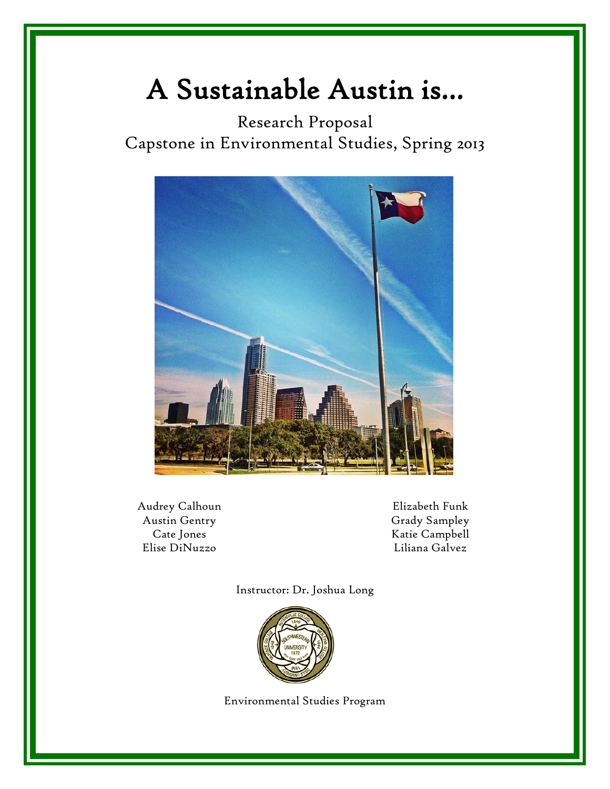# A Sustainable Austin is…

Research Proposal Capstone in Environmental Studies, Spring 2013



Audrey Calhoun Austin Gentry Cate Jones Elise DiNuzzo

Elizabeth Funk Grady Sampley Katie Campbell Liliana Galvez

Instructor: Dr. Joshua Long



Environmental Studies Program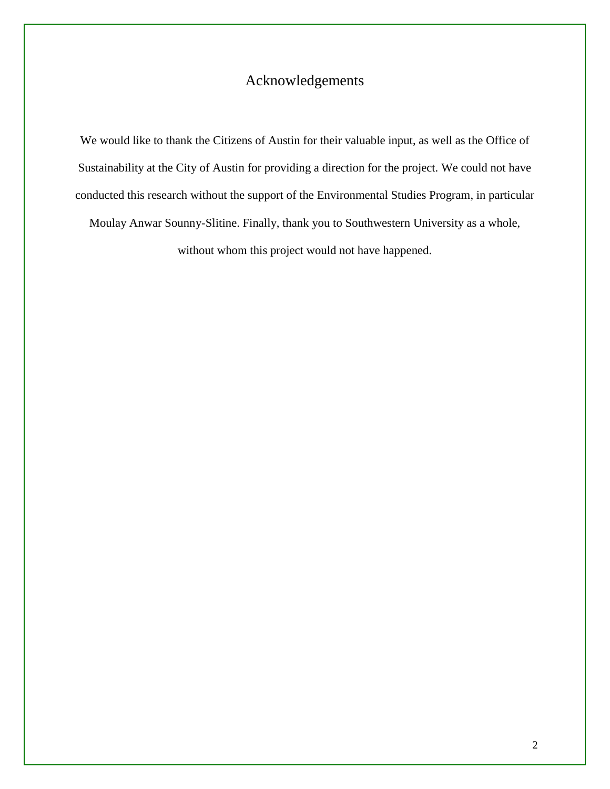# Acknowledgements

We would like to thank the Citizens of Austin for their valuable input, as well as the Office of Sustainability at the City of Austin for providing a direction for the project. We could not have conducted this research without the support of the Environmental Studies Program, in particular Moulay Anwar Sounny-Slitine. Finally, thank you to Southwestern University as a whole, without whom this project would not have happened.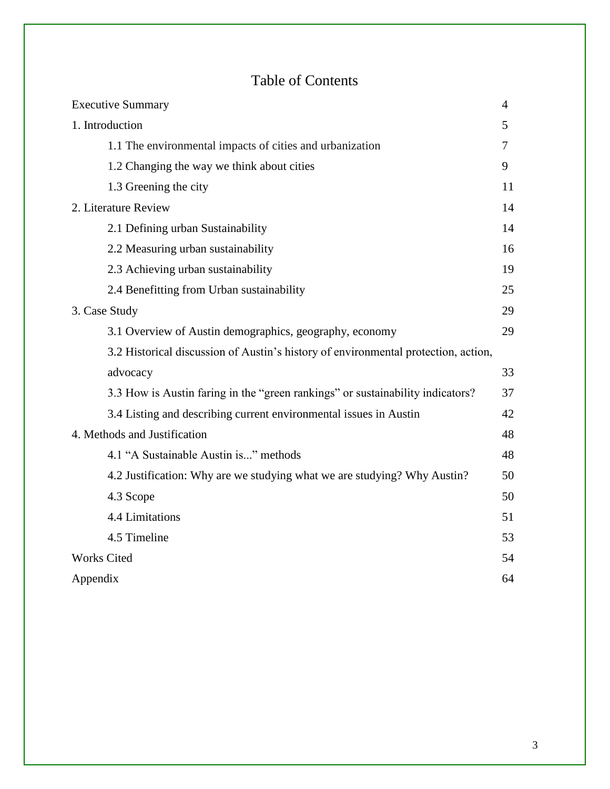# Table of Contents

| <b>Executive Summary</b>                                                           | 4  |
|------------------------------------------------------------------------------------|----|
| 1. Introduction                                                                    | 5  |
| 1.1 The environmental impacts of cities and urbanization                           | 7  |
| 1.2 Changing the way we think about cities                                         | 9  |
| 1.3 Greening the city                                                              | 11 |
| 2. Literature Review                                                               | 14 |
| 2.1 Defining urban Sustainability                                                  | 14 |
| 2.2 Measuring urban sustainability                                                 | 16 |
| 2.3 Achieving urban sustainability                                                 | 19 |
| 2.4 Benefitting from Urban sustainability                                          | 25 |
| 3. Case Study                                                                      | 29 |
| 3.1 Overview of Austin demographics, geography, economy                            | 29 |
| 3.2 Historical discussion of Austin's history of environmental protection, action, |    |
| advocacy                                                                           | 33 |
| 3.3 How is Austin faring in the "green rankings" or sustainability indicators?     | 37 |
| 3.4 Listing and describing current environmental issues in Austin                  | 42 |
| 4. Methods and Justification                                                       | 48 |
| 4.1 "A Sustainable Austin is" methods                                              | 48 |
| 4.2 Justification: Why are we studying what we are studying? Why Austin?           | 50 |
| 4.3 Scope                                                                          | 50 |
| 4.4 Limitations                                                                    | 51 |
| 4.5 Timeline                                                                       | 53 |
| Works Cited                                                                        | 54 |
| Appendix                                                                           | 64 |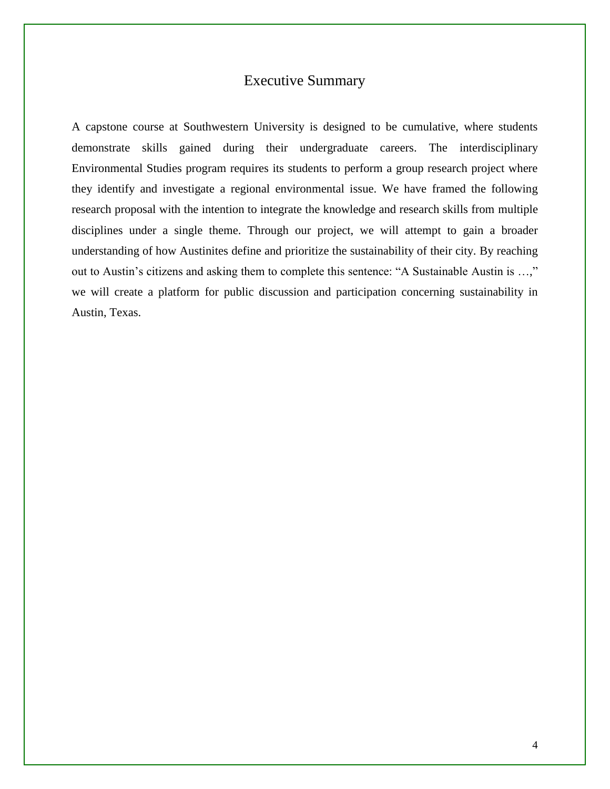### Executive Summary

A capstone course at Southwestern University is designed to be cumulative, where students demonstrate skills gained during their undergraduate careers. The interdisciplinary Environmental Studies program requires its students to perform a group research project where they identify and investigate a regional environmental issue. We have framed the following research proposal with the intention to integrate the knowledge and research skills from multiple disciplines under a single theme. Through our project, we will attempt to gain a broader understanding of how Austinites define and prioritize the sustainability of their city. By reaching out to Austin's citizens and asking them to complete this sentence: "A Sustainable Austin is …," we will create a platform for public discussion and participation concerning sustainability in Austin, Texas.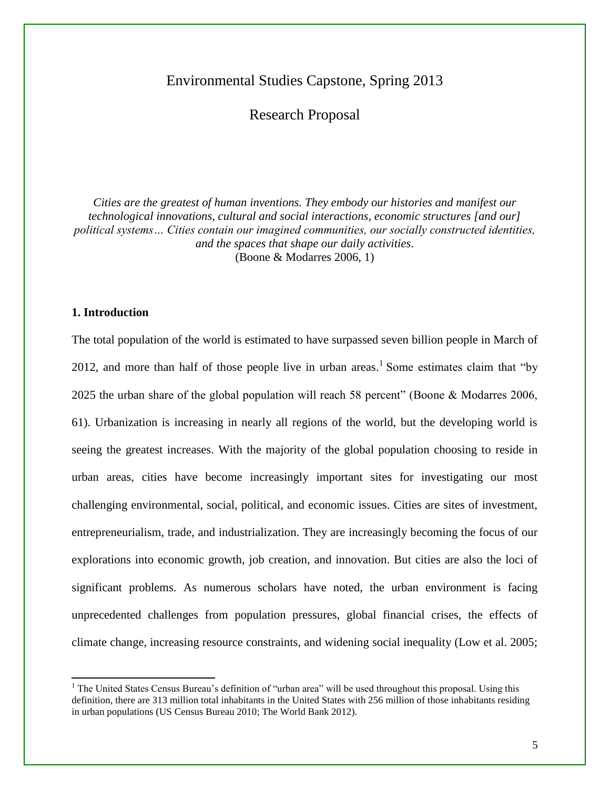## Environmental Studies Capstone, Spring 2013

### Research Proposal

*Cities are the greatest of human inventions. They embody our histories and manifest our technological innovations, cultural and social interactions, economic structures [and our] political systems… Cities contain our imagined communities, our socially constructed identities, and the spaces that shape our daily activities*. (Boone & Modarres 2006, 1)

#### **1. Introduction**

 $\overline{a}$ 

The total population of the world is estimated to have surpassed seven billion people in March of 2012, and more than half of those people live in urban areas.<sup>1</sup> Some estimates claim that "by 2025 the urban share of the global population will reach 58 percent" (Boone & Modarres 2006, 61). Urbanization is increasing in nearly all regions of the world, but the developing world is seeing the greatest increases. With the majority of the global population choosing to reside in urban areas, cities have become increasingly important sites for investigating our most challenging environmental, social, political, and economic issues. Cities are sites of investment, entrepreneurialism, trade, and industrialization. They are increasingly becoming the focus of our explorations into economic growth, job creation, and innovation. But cities are also the loci of significant problems. As numerous scholars have noted, the urban environment is facing unprecedented challenges from population pressures, global financial crises, the effects of climate change, increasing resource constraints, and widening social inequality (Low et al. 2005;

<sup>&</sup>lt;sup>1</sup> The United States Census Bureau's definition of "urban area" will be used throughout this proposal. Using this definition, there are 313 million total inhabitants in the United States with 256 million of those inhabitants residing in urban populations (US Census Bureau 2010; The World Bank 2012).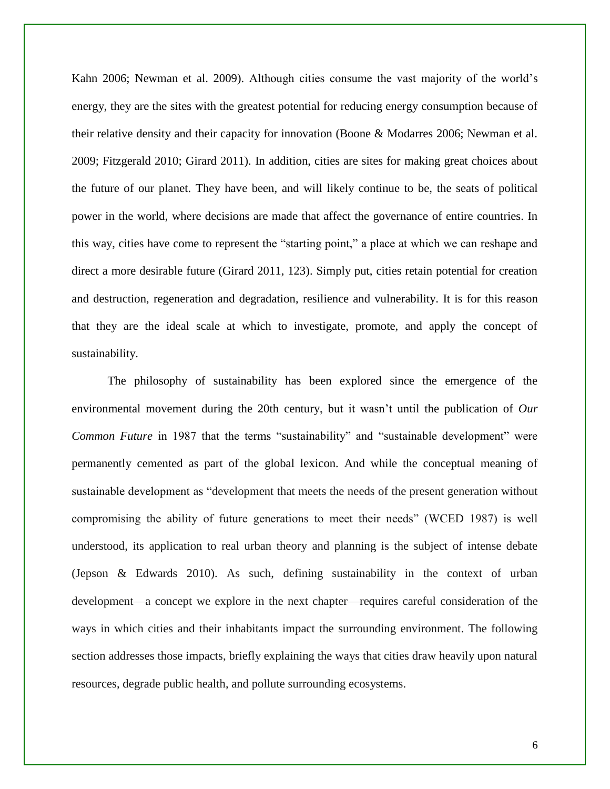Kahn 2006; Newman et al. 2009). Although cities consume the vast majority of the world's energy, they are the sites with the greatest potential for reducing energy consumption because of their relative density and their capacity for innovation (Boone & Modarres 2006; Newman et al. 2009; Fitzgerald 2010; Girard 2011). In addition, cities are sites for making great choices about the future of our planet. They have been, and will likely continue to be, the seats of political power in the world, where decisions are made that affect the governance of entire countries. In this way, cities have come to represent the "starting point," a place at which we can reshape and direct a more desirable future (Girard 2011, 123). Simply put, cities retain potential for creation and destruction, regeneration and degradation, resilience and vulnerability. It is for this reason that they are the ideal scale at which to investigate, promote, and apply the concept of sustainability.

The philosophy of sustainability has been explored since the emergence of the environmental movement during the 20th century, but it wasn't until the publication of *Our Common Future* in 1987 that the terms "sustainability" and "sustainable development" were permanently cemented as part of the global lexicon. And while the conceptual meaning of sustainable development as "development that meets the needs of the present generation without compromising the ability of future generations to meet their needs" (WCED 1987) is well understood, its application to real urban theory and planning is the subject of intense debate (Jepson & Edwards 2010). As such, defining sustainability in the context of urban development—a concept we explore in the next chapter—requires careful consideration of the ways in which cities and their inhabitants impact the surrounding environment. The following section addresses those impacts, briefly explaining the ways that cities draw heavily upon natural resources, degrade public health, and pollute surrounding ecosystems.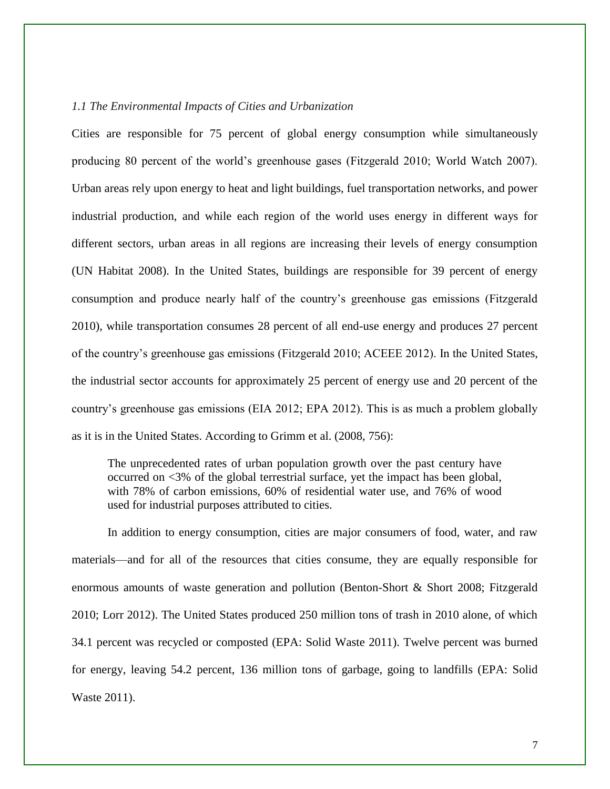#### *1.1 The Environmental Impacts of Cities and Urbanization*

Cities are responsible for 75 percent of global energy consumption while simultaneously producing 80 percent of the world's greenhouse gases (Fitzgerald 2010; World Watch 2007). Urban areas rely upon energy to heat and light buildings, fuel transportation networks, and power industrial production, and while each region of the world uses energy in different ways for different sectors, urban areas in all regions are increasing their levels of energy consumption (UN Habitat 2008). In the United States, buildings are responsible for 39 percent of energy consumption and produce nearly half of the country's greenhouse gas emissions (Fitzgerald 2010), while transportation consumes 28 percent of all end-use energy and produces 27 percent of the country's greenhouse gas emissions (Fitzgerald 2010; ACEEE 2012). In the United States, the industrial sector accounts for approximately 25 percent of energy use and 20 percent of the country's greenhouse gas emissions (EIA 2012; EPA 2012). This is as much a problem globally as it is in the United States. According to Grimm et al. (2008, 756):

The unprecedented rates of urban population growth over the past century have occurred on <3% of the global terrestrial surface, yet the impact has been global, with 78% of carbon emissions, 60% of residential water use, and 76% of wood used for industrial purposes attributed to cities.

In addition to energy consumption, cities are major consumers of food, water, and raw materials—and for all of the resources that cities consume, they are equally responsible for enormous amounts of waste generation and pollution (Benton-Short & Short 2008; Fitzgerald 2010; Lorr 2012). The United States produced 250 million tons of trash in 2010 alone, of which 34.1 percent was recycled or composted (EPA: Solid Waste 2011). Twelve percent was burned for energy, leaving 54.2 percent, 136 million tons of garbage, going to landfills (EPA: Solid Waste 2011).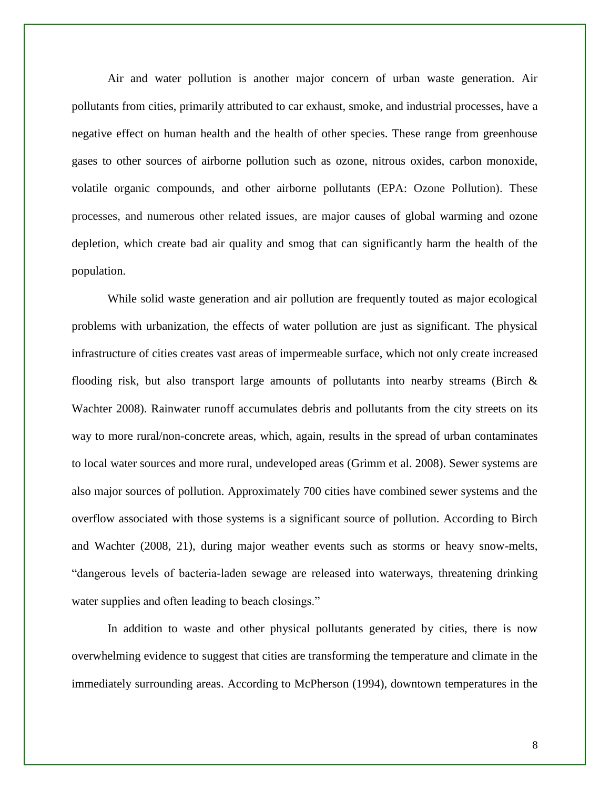Air and water pollution is another major concern of urban waste generation. Air pollutants from cities, primarily attributed to car exhaust, smoke, and industrial processes, have a negative effect on human health and the health of other species. These range from greenhouse gases to other sources of airborne pollution such as ozone, nitrous oxides, carbon monoxide, volatile organic compounds, and other airborne pollutants (EPA: Ozone Pollution). These processes, and numerous other related issues, are major causes of global warming and ozone depletion, which create bad air quality and smog that can significantly harm the health of the population.

While solid waste generation and air pollution are frequently touted as major ecological problems with urbanization, the effects of water pollution are just as significant. The physical infrastructure of cities creates vast areas of impermeable surface, which not only create increased flooding risk, but also transport large amounts of pollutants into nearby streams (Birch  $\&$ Wachter 2008). Rainwater runoff accumulates debris and pollutants from the city streets on its way to more rural/non-concrete areas, which, again, results in the spread of urban contaminates to local water sources and more rural, undeveloped areas (Grimm et al. 2008). Sewer systems are also major sources of pollution. Approximately 700 cities have combined sewer systems and the overflow associated with those systems is a significant source of pollution. According to Birch and Wachter (2008, 21), during major weather events such as storms or heavy snow-melts, "dangerous levels of bacteria-laden sewage are released into waterways, threatening drinking water supplies and often leading to beach closings."

In addition to waste and other physical pollutants generated by cities, there is now overwhelming evidence to suggest that cities are transforming the temperature and climate in the immediately surrounding areas. According to McPherson (1994), downtown temperatures in the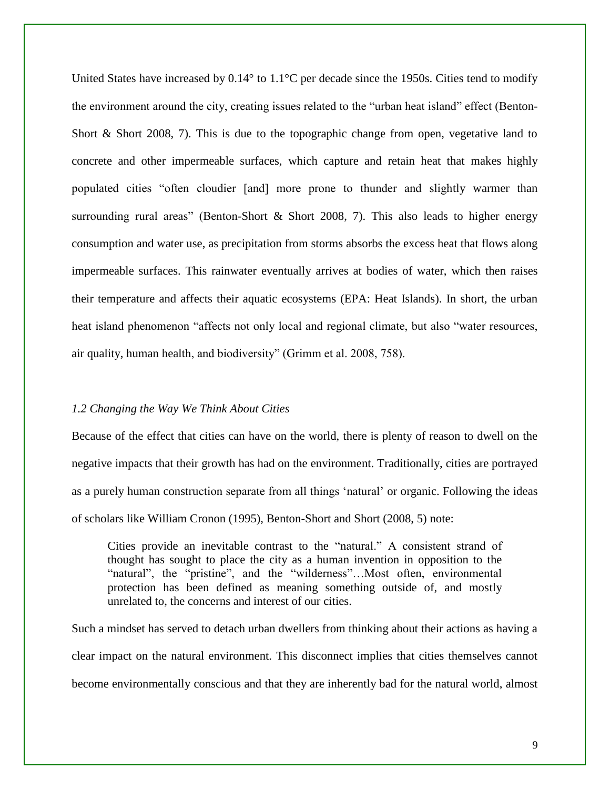United States have increased by  $0.14^{\circ}$  to  $1.1^{\circ}$ C per decade since the 1950s. Cities tend to modify the environment around the city, creating issues related to the "urban heat island" effect (Benton-Short & Short 2008, 7). This is due to the topographic change from open, vegetative land to concrete and other impermeable surfaces, which capture and retain heat that makes highly populated cities "often cloudier [and] more prone to thunder and slightly warmer than surrounding rural areas" (Benton-Short  $\&$  Short 2008, 7). This also leads to higher energy consumption and water use, as precipitation from storms absorbs the excess heat that flows along impermeable surfaces. This rainwater eventually arrives at bodies of water, which then raises their temperature and affects their aquatic ecosystems (EPA: Heat Islands). In short, the urban heat island phenomenon "affects not only local and regional climate, but also "water resources, air quality, human health, and biodiversity" (Grimm et al. 2008, 758).

#### *1.2 Changing the Way We Think About Cities*

Because of the effect that cities can have on the world, there is plenty of reason to dwell on the negative impacts that their growth has had on the environment. Traditionally, cities are portrayed as a purely human construction separate from all things 'natural' or organic. Following the ideas of scholars like William Cronon (1995), Benton-Short and Short (2008, 5) note:

Cities provide an inevitable contrast to the "natural." A consistent strand of thought has sought to place the city as a human invention in opposition to the "natural", the "pristine", and the "wilderness"...Most often, environmental protection has been defined as meaning something outside of, and mostly unrelated to, the concerns and interest of our cities.

Such a mindset has served to detach urban dwellers from thinking about their actions as having a clear impact on the natural environment. This disconnect implies that cities themselves cannot become environmentally conscious and that they are inherently bad for the natural world, almost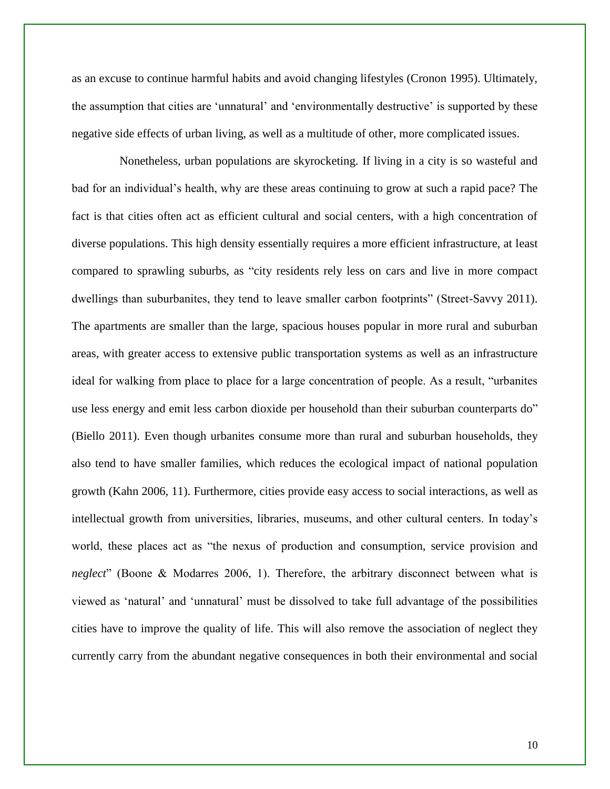as an excuse to continue harmful habits and avoid changing lifestyles (Cronon 1995). Ultimately, the assumption that cities are 'unnatural' and 'environmentally destructive' is supported by these negative side effects of urban living, as well as a multitude of other, more complicated issues.

Nonetheless, urban populations are skyrocketing. If living in a city is so wasteful and bad for an individual's health, why are these areas continuing to grow at such a rapid pace? The fact is that cities often act as efficient cultural and social centers, with a high concentration of diverse populations. This high density essentially requires a more efficient infrastructure, at least compared to sprawling suburbs, as "city residents rely less on cars and live in more compact dwellings than suburbanites, they tend to leave smaller carbon footprints" (Street-Savvy 2011). The apartments are smaller than the large, spacious houses popular in more rural and suburban areas, with greater access to extensive public transportation systems as well as an infrastructure ideal for walking from place to place for a large concentration of people. As a result, "urbanites use less energy and emit less carbon dioxide per household than their suburban counterparts do" (Biello 2011). Even though urbanites consume more than rural and suburban households, they also tend to have smaller families, which reduces the ecological impact of national population growth (Kahn 2006, 11). Furthermore, cities provide easy access to social interactions, as well as intellectual growth from universities, libraries, museums, and other cultural centers. In today's world, these places act as "the nexus of production and consumption, service provision and *neglect*" (Boone & Modarres 2006, 1). Therefore, the arbitrary disconnect between what is viewed as 'natural' and 'unnatural' must be dissolved to take full advantage of the possibilities cities have to improve the quality of life. This will also remove the association of neglect they currently carry from the abundant negative consequences in both their environmental and social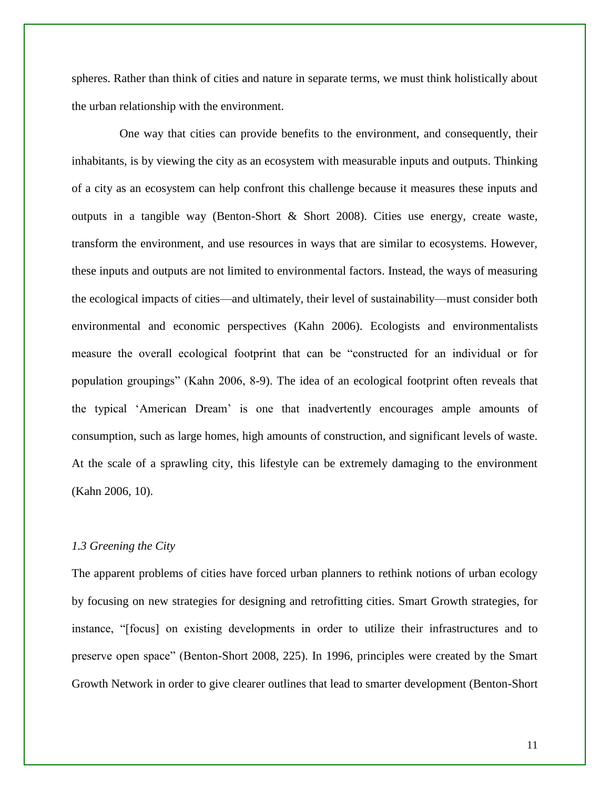spheres. Rather than think of cities and nature in separate terms, we must think holistically about the urban relationship with the environment.

One way that cities can provide benefits to the environment, and consequently, their inhabitants, is by viewing the city as an ecosystem with measurable inputs and outputs. Thinking of a city as an ecosystem can help confront this challenge because it measures these inputs and outputs in a tangible way (Benton-Short & Short 2008). Cities use energy, create waste, transform the environment, and use resources in ways that are similar to ecosystems. However, these inputs and outputs are not limited to environmental factors. Instead, the ways of measuring the ecological impacts of cities—and ultimately, their level of sustainability—must consider both environmental and economic perspectives (Kahn 2006). Ecologists and environmentalists measure the overall ecological footprint that can be "constructed for an individual or for population groupings" (Kahn 2006, 8-9). The idea of an ecological footprint often reveals that the typical 'American Dream' is one that inadvertently encourages ample amounts of consumption, such as large homes, high amounts of construction, and significant levels of waste. At the scale of a sprawling city, this lifestyle can be extremely damaging to the environment (Kahn 2006, 10).

#### *1.3 Greening the City*

The apparent problems of cities have forced urban planners to rethink notions of urban ecology by focusing on new strategies for designing and retrofitting cities. Smart Growth strategies, for instance, "[focus] on existing developments in order to utilize their infrastructures and to preserve open space" (Benton-Short 2008, 225). In 1996, principles were created by the Smart Growth Network in order to give clearer outlines that lead to smarter development (Benton-Short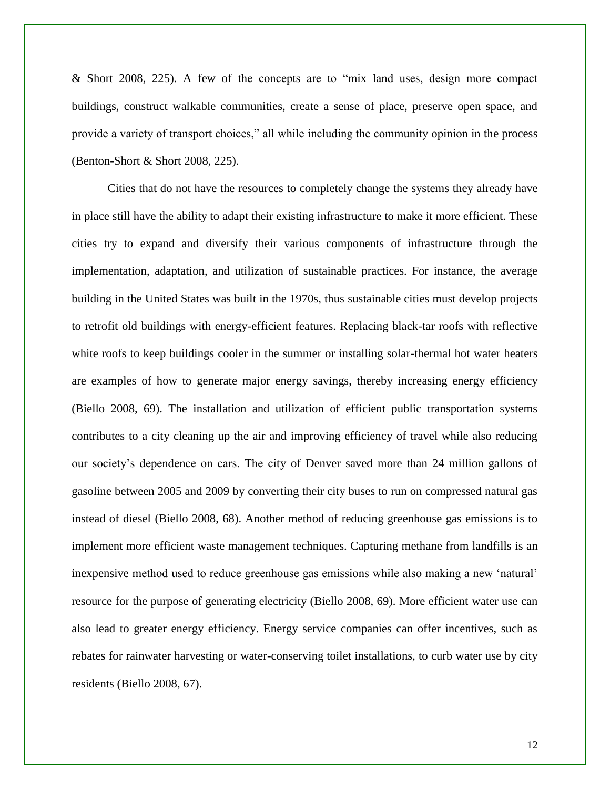& Short 2008, 225). A few of the concepts are to "mix land uses, design more compact buildings, construct walkable communities, create a sense of place, preserve open space, and provide a variety of transport choices," all while including the community opinion in the process (Benton-Short & Short 2008, 225).

Cities that do not have the resources to completely change the systems they already have in place still have the ability to adapt their existing infrastructure to make it more efficient. These cities try to expand and diversify their various components of infrastructure through the implementation, adaptation, and utilization of sustainable practices. For instance, the average building in the United States was built in the 1970s, thus sustainable cities must develop projects to retrofit old buildings with energy-efficient features. Replacing black-tar roofs with reflective white roofs to keep buildings cooler in the summer or installing solar-thermal hot water heaters are examples of how to generate major energy savings, thereby increasing energy efficiency (Biello 2008, 69). The installation and utilization of efficient public transportation systems contributes to a city cleaning up the air and improving efficiency of travel while also reducing our society's dependence on cars. The city of Denver saved more than 24 million gallons of gasoline between 2005 and 2009 by converting their city buses to run on compressed natural gas instead of diesel (Biello 2008, 68). Another method of reducing greenhouse gas emissions is to implement more efficient waste management techniques. Capturing methane from landfills is an inexpensive method used to reduce greenhouse gas emissions while also making a new 'natural' resource for the purpose of generating electricity (Biello 2008, 69). More efficient water use can also lead to greater energy efficiency. Energy service companies can offer incentives, such as rebates for rainwater harvesting or water-conserving toilet installations, to curb water use by city residents (Biello 2008, 67).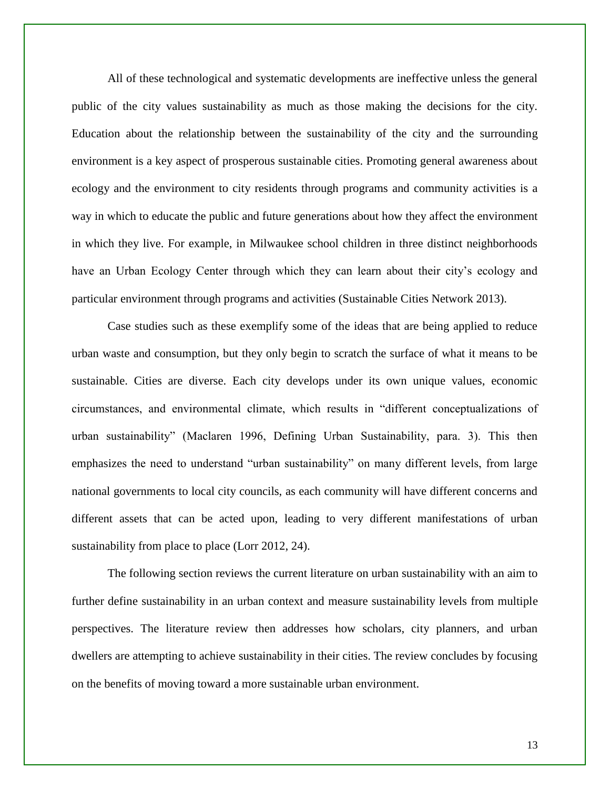All of these technological and systematic developments are ineffective unless the general public of the city values sustainability as much as those making the decisions for the city. Education about the relationship between the sustainability of the city and the surrounding environment is a key aspect of prosperous sustainable cities. Promoting general awareness about ecology and the environment to city residents through programs and community activities is a way in which to educate the public and future generations about how they affect the environment in which they live. For example, in Milwaukee school children in three distinct neighborhoods have an Urban Ecology Center through which they can learn about their city's ecology and particular environment through programs and activities (Sustainable Cities Network 2013).

Case studies such as these exemplify some of the ideas that are being applied to reduce urban waste and consumption, but they only begin to scratch the surface of what it means to be sustainable. Cities are diverse. Each city develops under its own unique values, economic circumstances, and environmental climate, which results in "different conceptualizations of urban sustainability" (Maclaren 1996, Defining Urban Sustainability, para. 3). This then emphasizes the need to understand "urban sustainability" on many different levels, from large national governments to local city councils, as each community will have different concerns and different assets that can be acted upon, leading to very different manifestations of urban sustainability from place to place (Lorr 2012, 24).

The following section reviews the current literature on urban sustainability with an aim to further define sustainability in an urban context and measure sustainability levels from multiple perspectives. The literature review then addresses how scholars, city planners, and urban dwellers are attempting to achieve sustainability in their cities. The review concludes by focusing on the benefits of moving toward a more sustainable urban environment.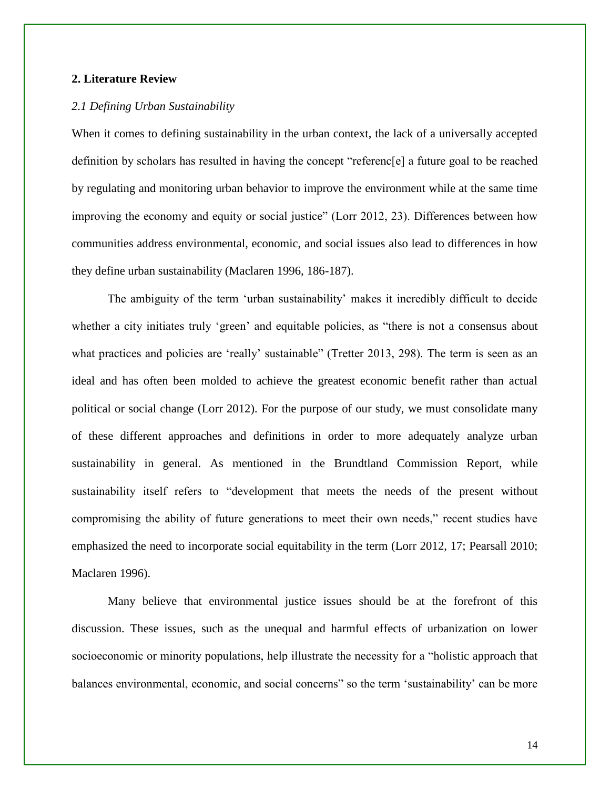#### **2. Literature Review**

#### *2.1 Defining Urban Sustainability*

When it comes to defining sustainability in the urban context, the lack of a universally accepted definition by scholars has resulted in having the concept "referenc[e] a future goal to be reached by regulating and monitoring urban behavior to improve the environment while at the same time improving the economy and equity or social justice" (Lorr 2012, 23). Differences between how communities address environmental, economic, and social issues also lead to differences in how they define urban sustainability (Maclaren 1996, 186-187).

The ambiguity of the term 'urban sustainability' makes it incredibly difficult to decide whether a city initiates truly 'green' and equitable policies, as "there is not a consensus about what practices and policies are 'really' sustainable" (Tretter 2013, 298). The term is seen as an ideal and has often been molded to achieve the greatest economic benefit rather than actual political or social change (Lorr 2012). For the purpose of our study, we must consolidate many of these different approaches and definitions in order to more adequately analyze urban sustainability in general. As mentioned in the Brundtland Commission Report, while sustainability itself refers to "development that meets the needs of the present without compromising the ability of future generations to meet their own needs," recent studies have emphasized the need to incorporate social equitability in the term (Lorr 2012, 17; Pearsall 2010; Maclaren 1996).

Many believe that environmental justice issues should be at the forefront of this discussion. These issues, such as the unequal and harmful effects of urbanization on lower socioeconomic or minority populations, help illustrate the necessity for a "holistic approach that balances environmental, economic, and social concerns" so the term 'sustainability' can be more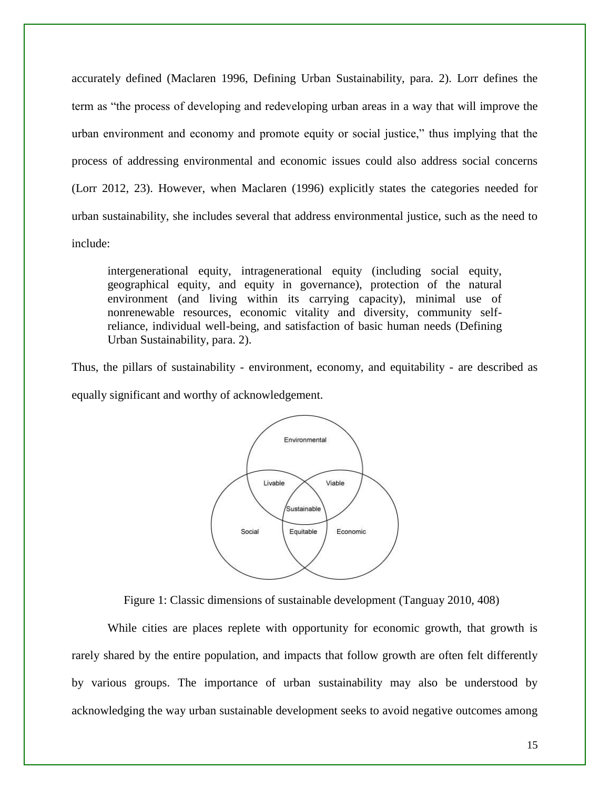accurately defined (Maclaren 1996, Defining Urban Sustainability, para. 2). Lorr defines the term as "the process of developing and redeveloping urban areas in a way that will improve the urban environment and economy and promote equity or social justice," thus implying that the process of addressing environmental and economic issues could also address social concerns (Lorr 2012, 23). However, when Maclaren (1996) explicitly states the categories needed for urban sustainability, she includes several that address environmental justice, such as the need to include:

intergenerational equity, intragenerational equity (including social equity, geographical equity, and equity in governance), protection of the natural environment (and living within its carrying capacity), minimal use of nonrenewable resources, economic vitality and diversity, community selfreliance, individual well-being, and satisfaction of basic human needs (Defining Urban Sustainability, para. 2).

Thus, the pillars of sustainability - environment, economy, and equitability - are described as equally significant and worthy of acknowledgement.



Figure 1: Classic dimensions of sustainable development (Tanguay 2010, 408)

While cities are places replete with opportunity for economic growth, that growth is rarely shared by the entire population, and impacts that follow growth are often felt differently by various groups. The importance of urban sustainability may also be understood by acknowledging the way urban sustainable development seeks to avoid negative outcomes among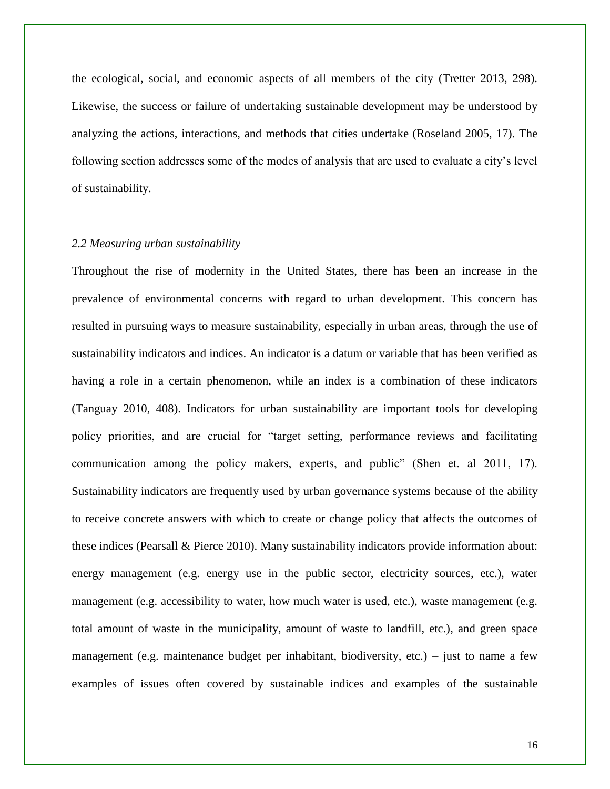the ecological, social, and economic aspects of all members of the city (Tretter 2013, 298). Likewise, the success or failure of undertaking sustainable development may be understood by analyzing the actions, interactions, and methods that cities undertake (Roseland 2005, 17). The following section addresses some of the modes of analysis that are used to evaluate a city's level of sustainability.

#### *2.2 Measuring urban sustainability*

Throughout the rise of modernity in the United States, there has been an increase in the prevalence of environmental concerns with regard to urban development. This concern has resulted in pursuing ways to measure sustainability, especially in urban areas, through the use of sustainability indicators and indices. An indicator is a datum or variable that has been verified as having a role in a certain phenomenon, while an index is a combination of these indicators (Tanguay 2010, 408). Indicators for urban sustainability are important tools for developing policy priorities, and are crucial for "target setting, performance reviews and facilitating communication among the policy makers, experts, and public" (Shen et. al 2011, 17). Sustainability indicators are frequently used by urban governance systems because of the ability to receive concrete answers with which to create or change policy that affects the outcomes of these indices (Pearsall & Pierce 2010). Many sustainability indicators provide information about: energy management (e.g. energy use in the public sector, electricity sources, etc.), water management (e.g. accessibility to water, how much water is used, etc.), waste management (e.g. total amount of waste in the municipality, amount of waste to landfill, etc.), and green space management (e.g. maintenance budget per inhabitant, biodiversity, etc.) – just to name a few examples of issues often covered by sustainable indices and examples of the sustainable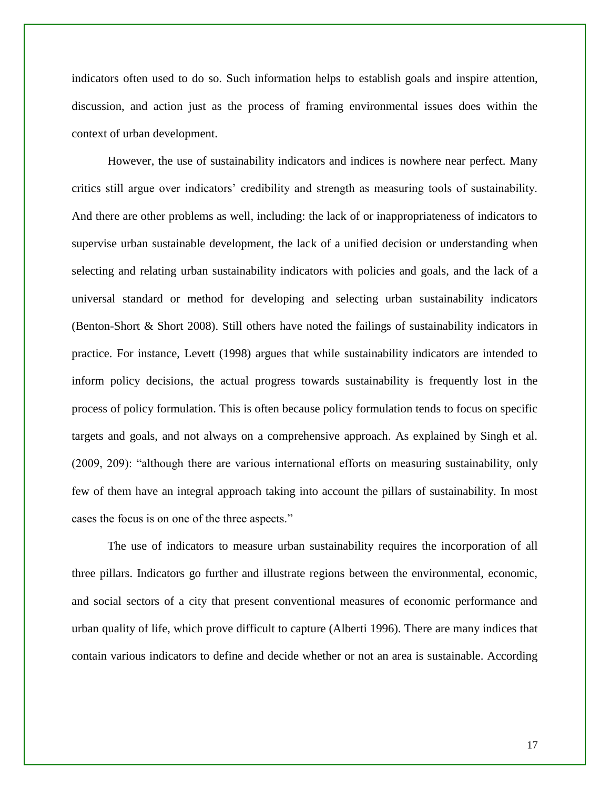indicators often used to do so. Such information helps to establish goals and inspire attention, discussion, and action just as the process of framing environmental issues does within the context of urban development.

However, the use of sustainability indicators and indices is nowhere near perfect. Many critics still argue over indicators' credibility and strength as measuring tools of sustainability. And there are other problems as well, including: the lack of or inappropriateness of indicators to supervise urban sustainable development, the lack of a unified decision or understanding when selecting and relating urban sustainability indicators with policies and goals, and the lack of a universal standard or method for developing and selecting urban sustainability indicators (Benton-Short & Short 2008). Still others have noted the failings of sustainability indicators in practice. For instance, Levett (1998) argues that while sustainability indicators are intended to inform policy decisions, the actual progress towards sustainability is frequently lost in the process of policy formulation. This is often because policy formulation tends to focus on specific targets and goals, and not always on a comprehensive approach. As explained by Singh et al. (2009, 209): "although there are various international efforts on measuring sustainability, only few of them have an integral approach taking into account the pillars of sustainability. In most cases the focus is on one of the three aspects."

The use of indicators to measure urban sustainability requires the incorporation of all three pillars. Indicators go further and illustrate regions between the environmental, economic, and social sectors of a city that present conventional measures of economic performance and urban quality of life, which prove difficult to capture (Alberti 1996). There are many indices that contain various indicators to define and decide whether or not an area is sustainable. According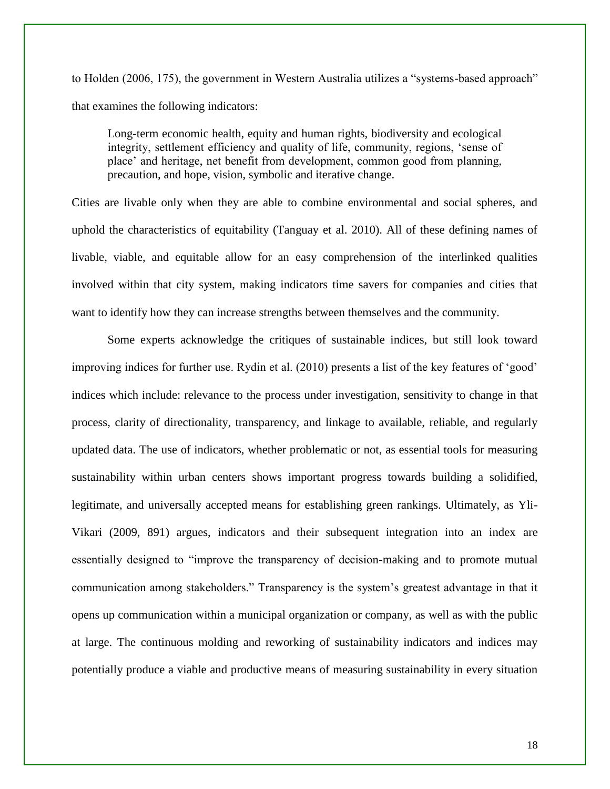to Holden (2006, 175), the government in Western Australia utilizes a "systems-based approach" that examines the following indicators:

Long-term economic health, equity and human rights, biodiversity and ecological integrity, settlement efficiency and quality of life, community, regions, 'sense of place' and heritage, net benefit from development, common good from planning, precaution, and hope, vision, symbolic and iterative change.

Cities are livable only when they are able to combine environmental and social spheres, and uphold the characteristics of equitability (Tanguay et al. 2010). All of these defining names of livable, viable, and equitable allow for an easy comprehension of the interlinked qualities involved within that city system, making indicators time savers for companies and cities that want to identify how they can increase strengths between themselves and the community.

Some experts acknowledge the critiques of sustainable indices, but still look toward improving indices for further use. Rydin et al. (2010) presents a list of the key features of 'good' indices which include: relevance to the process under investigation, sensitivity to change in that process, clarity of directionality, transparency, and linkage to available, reliable, and regularly updated data. The use of indicators, whether problematic or not, as essential tools for measuring sustainability within urban centers shows important progress towards building a solidified, legitimate, and universally accepted means for establishing green rankings. Ultimately, as Yli-Vikari (2009, 891) argues, indicators and their subsequent integration into an index are essentially designed to "improve the transparency of decision-making and to promote mutual communication among stakeholders." Transparency is the system's greatest advantage in that it opens up communication within a municipal organization or company, as well as with the public at large. The continuous molding and reworking of sustainability indicators and indices may potentially produce a viable and productive means of measuring sustainability in every situation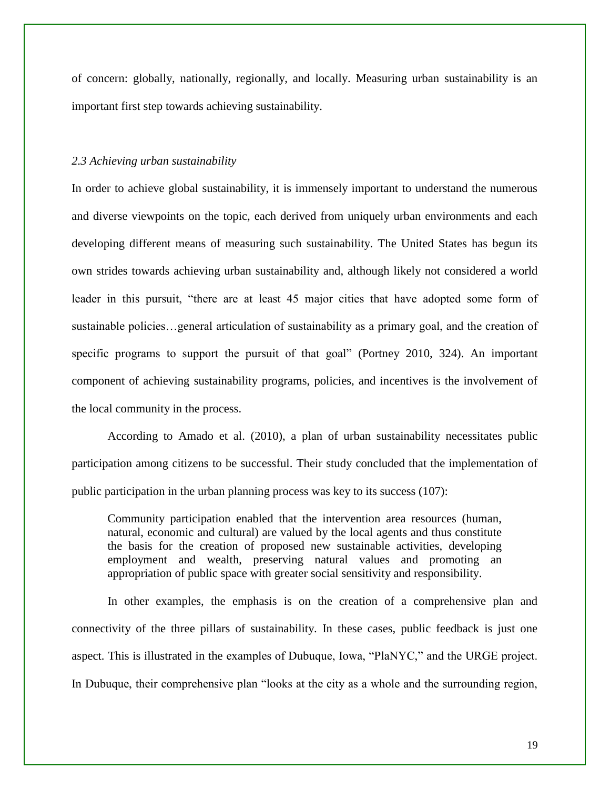of concern: globally, nationally, regionally, and locally. Measuring urban sustainability is an important first step towards achieving sustainability.

#### *2.3 Achieving urban sustainability*

In order to achieve global sustainability, it is immensely important to understand the numerous and diverse viewpoints on the topic, each derived from uniquely urban environments and each developing different means of measuring such sustainability. The United States has begun its own strides towards achieving urban sustainability and, although likely not considered a world leader in this pursuit, "there are at least 45 major cities that have adopted some form of sustainable policies…general articulation of sustainability as a primary goal, and the creation of specific programs to support the pursuit of that goal" (Portney 2010, 324). An important component of achieving sustainability programs, policies, and incentives is the involvement of the local community in the process.

According to Amado et al. (2010), a plan of urban sustainability necessitates public participation among citizens to be successful. Their study concluded that the implementation of public participation in the urban planning process was key to its success (107):

Community participation enabled that the intervention area resources (human, natural, economic and cultural) are valued by the local agents and thus constitute the basis for the creation of proposed new sustainable activities, developing employment and wealth, preserving natural values and promoting an appropriation of public space with greater social sensitivity and responsibility.

In other examples, the emphasis is on the creation of a comprehensive plan and connectivity of the three pillars of sustainability. In these cases, public feedback is just one aspect. This is illustrated in the examples of Dubuque, Iowa, "PlaNYC," and the URGE project. In Dubuque, their comprehensive plan "looks at the city as a whole and the surrounding region,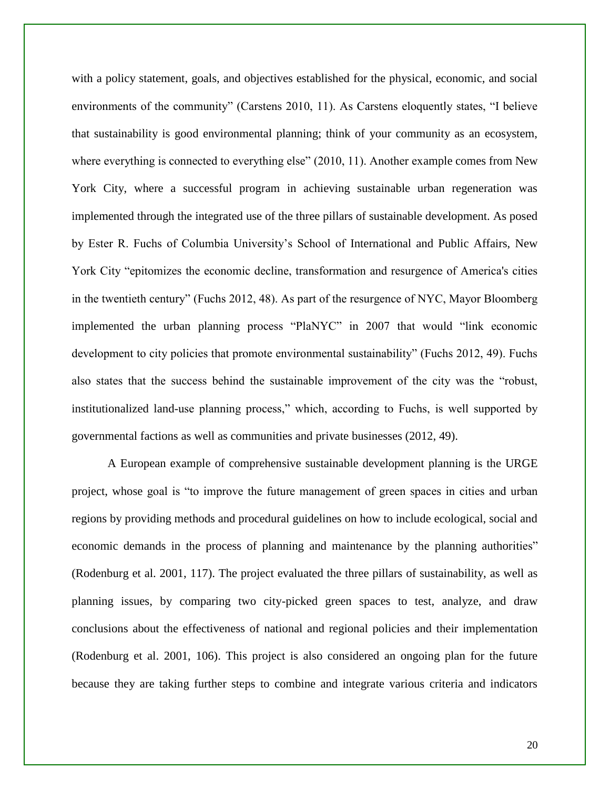with a policy statement, goals, and objectives established for the physical, economic, and social environments of the community" (Carstens 2010, 11). As Carstens eloquently states, "I believe that sustainability is good environmental planning; think of your community as an ecosystem, where everything is connected to everything else" (2010, 11). Another example comes from New York City, where a successful program in achieving sustainable urban regeneration was implemented through the integrated use of the three pillars of sustainable development. As posed by Ester R. Fuchs of Columbia University's School of International and Public Affairs, New York City "epitomizes the economic decline, transformation and resurgence of America's cities in the twentieth century" (Fuchs 2012, 48). As part of the resurgence of NYC, Mayor Bloomberg implemented the urban planning process "PlaNYC" in 2007 that would "link economic development to city policies that promote environmental sustainability" (Fuchs 2012, 49). Fuchs also states that the success behind the sustainable improvement of the city was the "robust, institutionalized land-use planning process," which, according to Fuchs, is well supported by governmental factions as well as communities and private businesses (2012, 49).

A European example of comprehensive sustainable development planning is the URGE project, whose goal is "to improve the future management of green spaces in cities and urban regions by providing methods and procedural guidelines on how to include ecological, social and economic demands in the process of planning and maintenance by the planning authorities" (Rodenburg et al. 2001, 117). The project evaluated the three pillars of sustainability, as well as planning issues, by comparing two city-picked green spaces to test, analyze, and draw conclusions about the effectiveness of national and regional policies and their implementation (Rodenburg et al. 2001, 106). This project is also considered an ongoing plan for the future because they are taking further steps to combine and integrate various criteria and indicators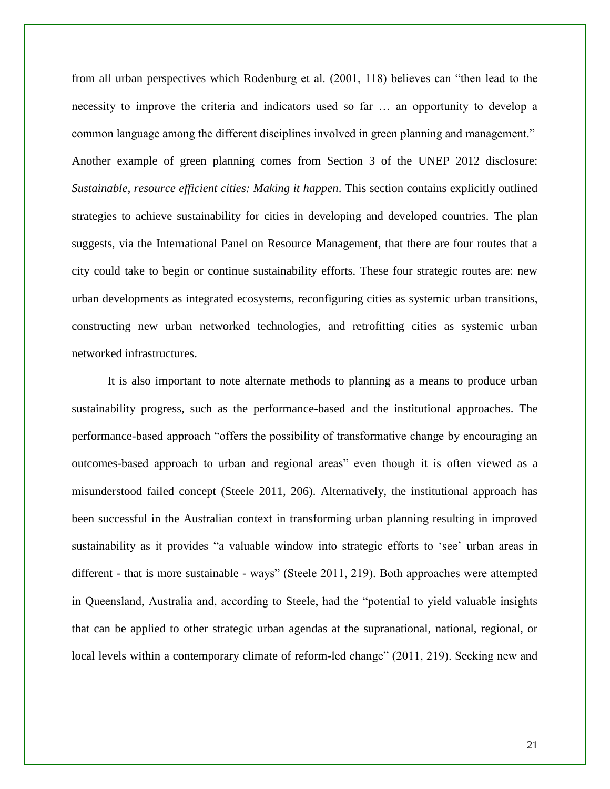from all urban perspectives which Rodenburg et al. (2001, 118) believes can "then lead to the necessity to improve the criteria and indicators used so far … an opportunity to develop a common language among the different disciplines involved in green planning and management." Another example of green planning comes from Section 3 of the UNEP 2012 disclosure: *Sustainable, resource efficient cities: Making it happen*. This section contains explicitly outlined strategies to achieve sustainability for cities in developing and developed countries. The plan suggests, via the International Panel on Resource Management, that there are four routes that a city could take to begin or continue sustainability efforts. These four strategic routes are: new urban developments as integrated ecosystems, reconfiguring cities as systemic urban transitions, constructing new urban networked technologies, and retrofitting cities as systemic urban networked infrastructures.

It is also important to note alternate methods to planning as a means to produce urban sustainability progress, such as the performance-based and the institutional approaches. The performance-based approach "offers the possibility of transformative change by encouraging an outcomes-based approach to urban and regional areas" even though it is often viewed as a misunderstood failed concept (Steele 2011, 206). Alternatively, the institutional approach has been successful in the Australian context in transforming urban planning resulting in improved sustainability as it provides "a valuable window into strategic efforts to 'see' urban areas in different - that is more sustainable - ways" (Steele 2011, 219). Both approaches were attempted in Queensland, Australia and, according to Steele, had the "potential to yield valuable insights that can be applied to other strategic urban agendas at the supranational, national, regional, or local levels within a contemporary climate of reform-led change" (2011, 219). Seeking new and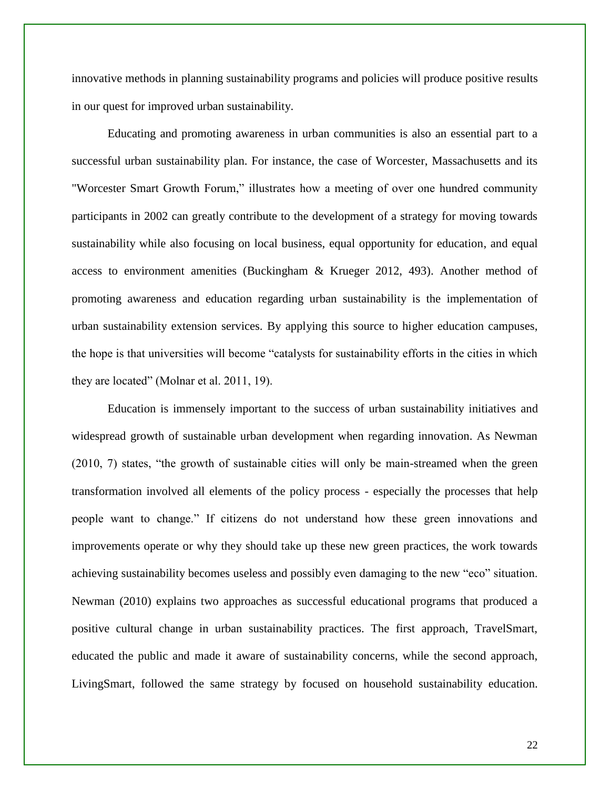innovative methods in planning sustainability programs and policies will produce positive results in our quest for improved urban sustainability.

Educating and promoting awareness in urban communities is also an essential part to a successful urban sustainability plan. For instance, the case of Worcester, Massachusetts and its "Worcester Smart Growth Forum," illustrates how a meeting of over one hundred community participants in 2002 can greatly contribute to the development of a strategy for moving towards sustainability while also focusing on local business, equal opportunity for education, and equal access to environment amenities (Buckingham & Krueger 2012, 493). Another method of promoting awareness and education regarding urban sustainability is the implementation of urban sustainability extension services. By applying this source to higher education campuses, the hope is that universities will become "catalysts for sustainability efforts in the cities in which they are located" (Molnar et al. 2011, 19).

Education is immensely important to the success of urban sustainability initiatives and widespread growth of sustainable urban development when regarding innovation. As Newman (2010, 7) states, "the growth of sustainable cities will only be main-streamed when the green transformation involved all elements of the policy process - especially the processes that help people want to change." If citizens do not understand how these green innovations and improvements operate or why they should take up these new green practices, the work towards achieving sustainability becomes useless and possibly even damaging to the new "eco" situation. Newman (2010) explains two approaches as successful educational programs that produced a positive cultural change in urban sustainability practices. The first approach, TravelSmart, educated the public and made it aware of sustainability concerns, while the second approach, LivingSmart, followed the same strategy by focused on household sustainability education.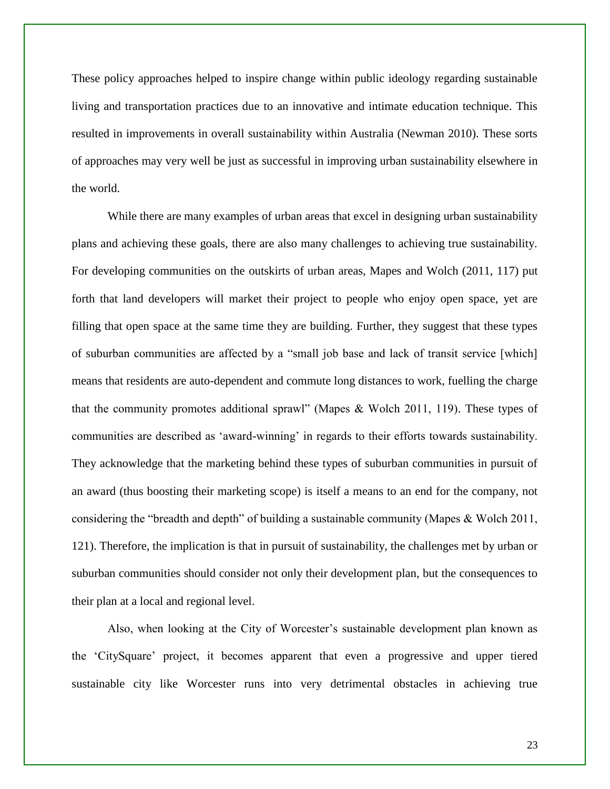These policy approaches helped to inspire change within public ideology regarding sustainable living and transportation practices due to an innovative and intimate education technique. This resulted in improvements in overall sustainability within Australia (Newman 2010). These sorts of approaches may very well be just as successful in improving urban sustainability elsewhere in the world.

While there are many examples of urban areas that excel in designing urban sustainability plans and achieving these goals, there are also many challenges to achieving true sustainability. For developing communities on the outskirts of urban areas, Mapes and Wolch (2011, 117) put forth that land developers will market their project to people who enjoy open space, yet are filling that open space at the same time they are building. Further, they suggest that these types of suburban communities are affected by a "small job base and lack of transit service [which] means that residents are auto-dependent and commute long distances to work, fuelling the charge that the community promotes additional sprawl" (Mapes & Wolch 2011, 119). These types of communities are described as 'award-winning' in regards to their efforts towards sustainability. They acknowledge that the marketing behind these types of suburban communities in pursuit of an award (thus boosting their marketing scope) is itself a means to an end for the company, not considering the "breadth and depth" of building a sustainable community (Mapes & Wolch 2011, 121). Therefore, the implication is that in pursuit of sustainability, the challenges met by urban or suburban communities should consider not only their development plan, but the consequences to their plan at a local and regional level.

Also, when looking at the City of Worcester's sustainable development plan known as the 'CitySquare' project, it becomes apparent that even a progressive and upper tiered sustainable city like Worcester runs into very detrimental obstacles in achieving true

23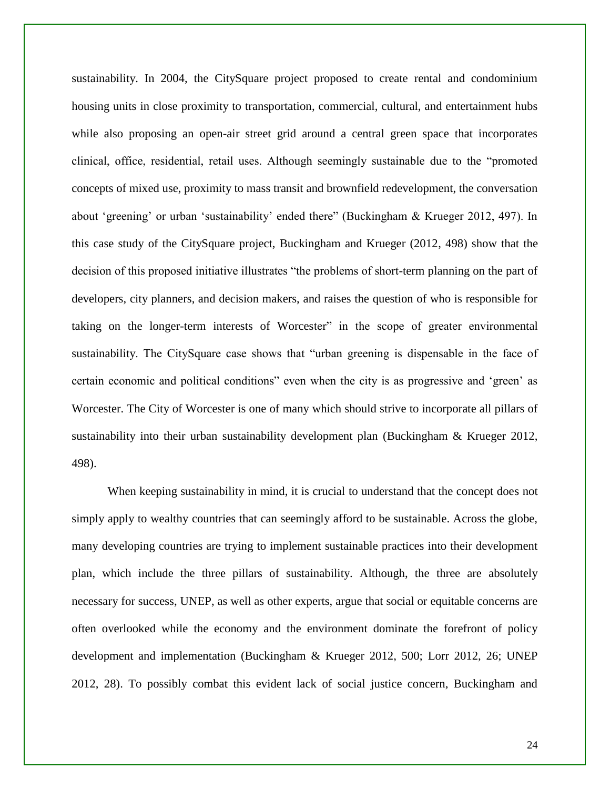sustainability. In 2004, the CitySquare project proposed to create rental and condominium housing units in close proximity to transportation, commercial, cultural, and entertainment hubs while also proposing an open-air street grid around a central green space that incorporates clinical, office, residential, retail uses. Although seemingly sustainable due to the "promoted concepts of mixed use, proximity to mass transit and brownfield redevelopment, the conversation about 'greening' or urban 'sustainability' ended there" (Buckingham & Krueger 2012, 497). In this case study of the CitySquare project, Buckingham and Krueger (2012, 498) show that the decision of this proposed initiative illustrates "the problems of short-term planning on the part of developers, city planners, and decision makers, and raises the question of who is responsible for taking on the longer-term interests of Worcester" in the scope of greater environmental sustainability. The CitySquare case shows that "urban greening is dispensable in the face of certain economic and political conditions" even when the city is as progressive and 'green' as Worcester. The City of Worcester is one of many which should strive to incorporate all pillars of sustainability into their urban sustainability development plan (Buckingham & Krueger 2012, 498).

When keeping sustainability in mind, it is crucial to understand that the concept does not simply apply to wealthy countries that can seemingly afford to be sustainable. Across the globe, many developing countries are trying to implement sustainable practices into their development plan, which include the three pillars of sustainability. Although, the three are absolutely necessary for success, UNEP, as well as other experts, argue that social or equitable concerns are often overlooked while the economy and the environment dominate the forefront of policy development and implementation (Buckingham & Krueger 2012, 500; Lorr 2012, 26; UNEP 2012, 28). To possibly combat this evident lack of social justice concern, Buckingham and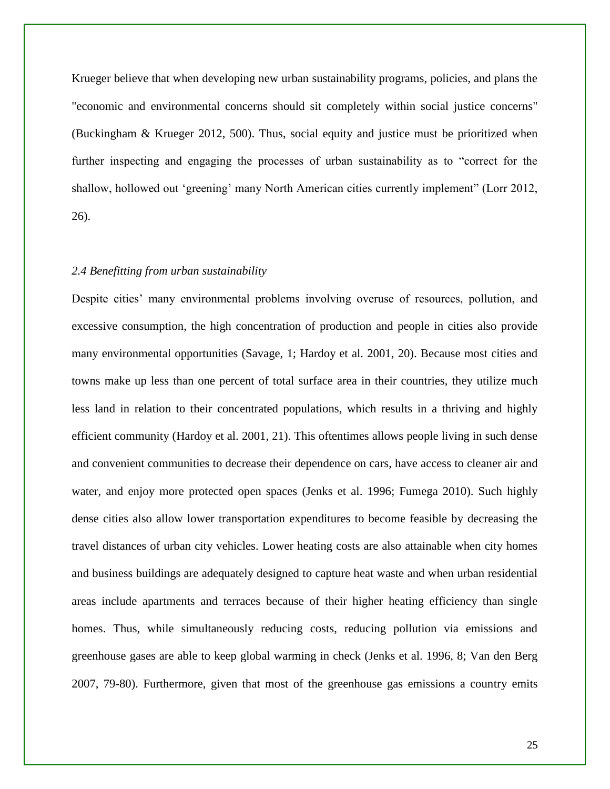Krueger believe that when developing new urban sustainability programs, policies, and plans the "economic and environmental concerns should sit completely within social justice concerns" (Buckingham & Krueger 2012, 500). Thus, social equity and justice must be prioritized when further inspecting and engaging the processes of urban sustainability as to "correct for the shallow, hollowed out 'greening' many North American cities currently implement" (Lorr 2012, 26).

#### *2.4 Benefitting from urban sustainability*

Despite cities' many environmental problems involving overuse of resources, pollution, and excessive consumption, the high concentration of production and people in cities also provide many environmental opportunities (Savage, 1; Hardoy et al. 2001, 20). Because most cities and towns make up less than one percent of total surface area in their countries, they utilize much less land in relation to their concentrated populations, which results in a thriving and highly efficient community (Hardoy et al. 2001, 21). This oftentimes allows people living in such dense and convenient communities to decrease their dependence on cars, have access to cleaner air and water, and enjoy more protected open spaces (Jenks et al. 1996; Fumega 2010). Such highly dense cities also allow lower transportation expenditures to become feasible by decreasing the travel distances of urban city vehicles. Lower heating costs are also attainable when city homes and business buildings are adequately designed to capture heat waste and when urban residential areas include apartments and terraces because of their higher heating efficiency than single homes. Thus, while simultaneously reducing costs, reducing pollution via emissions and greenhouse gases are able to keep global warming in check (Jenks et al. 1996, 8; Van den Berg 2007, 79-80). Furthermore, given that most of the greenhouse gas emissions a country emits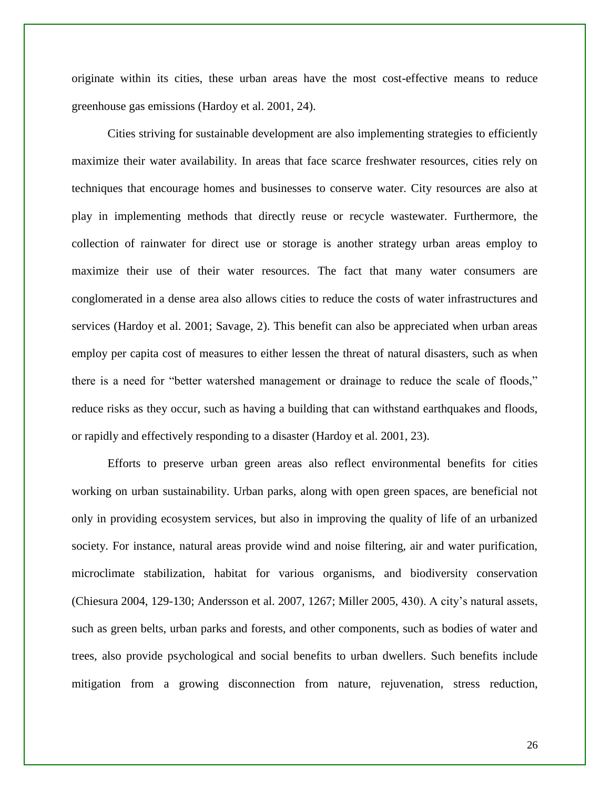originate within its cities, these urban areas have the most cost-effective means to reduce greenhouse gas emissions (Hardoy et al. 2001, 24).

Cities striving for sustainable development are also implementing strategies to efficiently maximize their water availability. In areas that face scarce freshwater resources, cities rely on techniques that encourage homes and businesses to conserve water. City resources are also at play in implementing methods that directly reuse or recycle wastewater. Furthermore, the collection of rainwater for direct use or storage is another strategy urban areas employ to maximize their use of their water resources. The fact that many water consumers are conglomerated in a dense area also allows cities to reduce the costs of water infrastructures and services (Hardoy et al. 2001; Savage, 2). This benefit can also be appreciated when urban areas employ per capita cost of measures to either lessen the threat of natural disasters, such as when there is a need for "better watershed management or drainage to reduce the scale of floods," reduce risks as they occur, such as having a building that can withstand earthquakes and floods, or rapidly and effectively responding to a disaster (Hardoy et al. 2001, 23).

Efforts to preserve urban green areas also reflect environmental benefits for cities working on urban sustainability. Urban parks, along with open green spaces, are beneficial not only in providing ecosystem services, but also in improving the quality of life of an urbanized society. For instance, natural areas provide wind and noise filtering, air and water purification, microclimate stabilization, habitat for various organisms, and biodiversity conservation (Chiesura 2004, 129-130; Andersson et al. 2007, 1267; Miller 2005, 430). A city's natural assets, such as green belts, urban parks and forests, and other components, such as bodies of water and trees, also provide psychological and social benefits to urban dwellers. Such benefits include mitigation from a growing disconnection from nature, rejuvenation, stress reduction,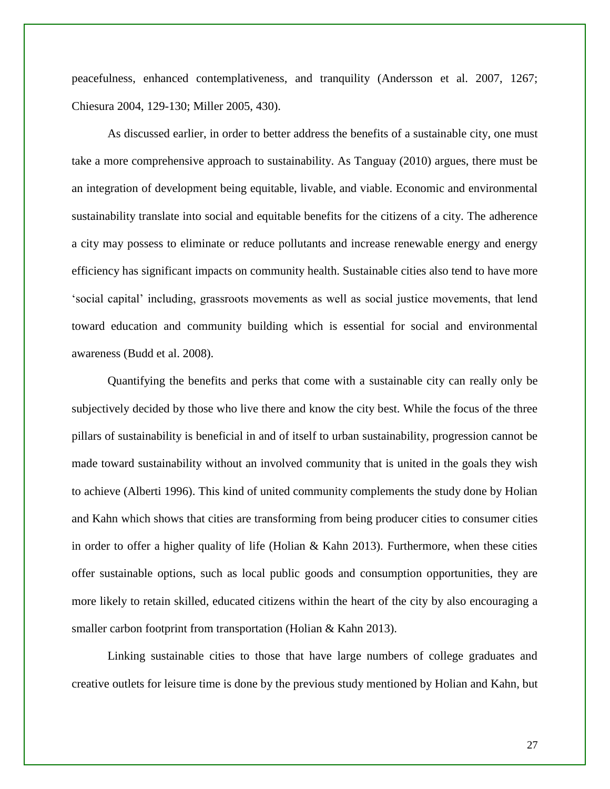peacefulness, enhanced contemplativeness, and tranquility (Andersson et al. 2007, 1267; Chiesura 2004, 129-130; Miller 2005, 430).

As discussed earlier, in order to better address the benefits of a sustainable city, one must take a more comprehensive approach to sustainability. As Tanguay (2010) argues, there must be an integration of development being equitable, livable, and viable. Economic and environmental sustainability translate into social and equitable benefits for the citizens of a city. The adherence a city may possess to eliminate or reduce pollutants and increase renewable energy and energy efficiency has significant impacts on community health. Sustainable cities also tend to have more 'social capital' including, grassroots movements as well as social justice movements, that lend toward education and community building which is essential for social and environmental awareness (Budd et al. 2008).

Quantifying the benefits and perks that come with a sustainable city can really only be subjectively decided by those who live there and know the city best. While the focus of the three pillars of sustainability is beneficial in and of itself to urban sustainability, progression cannot be made toward sustainability without an involved community that is united in the goals they wish to achieve (Alberti 1996). This kind of united community complements the study done by Holian and Kahn which shows that cities are transforming from being producer cities to consumer cities in order to offer a higher quality of life (Holian & Kahn 2013). Furthermore, when these cities offer sustainable options, such as local public goods and consumption opportunities, they are more likely to retain skilled, educated citizens within the heart of the city by also encouraging a smaller carbon footprint from transportation (Holian & Kahn 2013).

Linking sustainable cities to those that have large numbers of college graduates and creative outlets for leisure time is done by the previous study mentioned by Holian and Kahn, but

27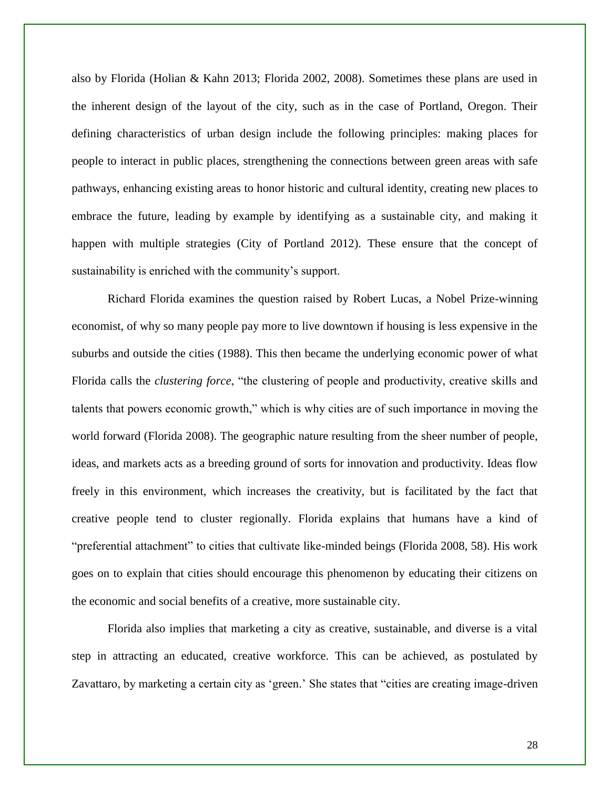also by Florida (Holian & Kahn 2013; Florida 2002, 2008). Sometimes these plans are used in the inherent design of the layout of the city, such as in the case of Portland, Oregon. Their defining characteristics of urban design include the following principles: making places for people to interact in public places, strengthening the connections between green areas with safe pathways, enhancing existing areas to honor historic and cultural identity, creating new places to embrace the future, leading by example by identifying as a sustainable city, and making it happen with multiple strategies (City of Portland 2012). These ensure that the concept of sustainability is enriched with the community's support.

Richard Florida examines the question raised by Robert Lucas, a Nobel Prize-winning economist, of why so many people pay more to live downtown if housing is less expensive in the suburbs and outside the cities (1988). This then became the underlying economic power of what Florida calls the *clustering force*, "the clustering of people and productivity, creative skills and talents that powers economic growth," which is why cities are of such importance in moving the world forward (Florida 2008). The geographic nature resulting from the sheer number of people, ideas, and markets acts as a breeding ground of sorts for innovation and productivity. Ideas flow freely in this environment, which increases the creativity, but is facilitated by the fact that creative people tend to cluster regionally. Florida explains that humans have a kind of "preferential attachment" to cities that cultivate like-minded beings (Florida 2008, 58). His work goes on to explain that cities should encourage this phenomenon by educating their citizens on the economic and social benefits of a creative, more sustainable city.

Florida also implies that marketing a city as creative, sustainable, and diverse is a vital step in attracting an educated, creative workforce. This can be achieved, as postulated by Zavattaro, by marketing a certain city as 'green.' She states that "cities are creating image-driven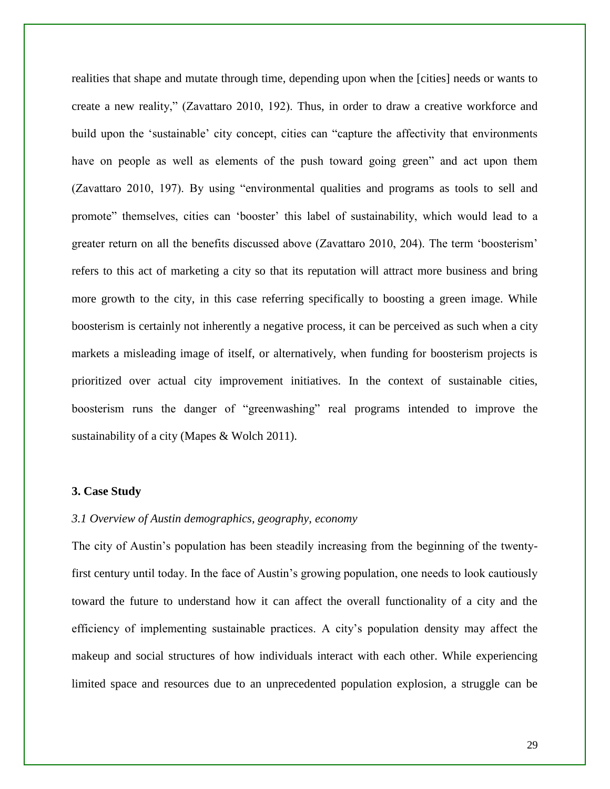realities that shape and mutate through time, depending upon when the [cities] needs or wants to create a new reality," (Zavattaro 2010, 192). Thus, in order to draw a creative workforce and build upon the 'sustainable' city concept, cities can "capture the affectivity that environments have on people as well as elements of the push toward going green" and act upon them (Zavattaro 2010, 197). By using "environmental qualities and programs as tools to sell and promote" themselves, cities can 'booster' this label of sustainability, which would lead to a greater return on all the benefits discussed above (Zavattaro 2010, 204). The term 'boosterism' refers to this act of marketing a city so that its reputation will attract more business and bring more growth to the city, in this case referring specifically to boosting a green image. While boosterism is certainly not inherently a negative process, it can be perceived as such when a city markets a misleading image of itself, or alternatively, when funding for boosterism projects is prioritized over actual city improvement initiatives. In the context of sustainable cities, boosterism runs the danger of "greenwashing" real programs intended to improve the sustainability of a city (Mapes & Wolch 2011).

#### **3. Case Study**

#### *3.1 Overview of Austin demographics, geography, economy*

The city of Austin's population has been steadily increasing from the beginning of the twentyfirst century until today. In the face of Austin's growing population, one needs to look cautiously toward the future to understand how it can affect the overall functionality of a city and the efficiency of implementing sustainable practices. A city's population density may affect the makeup and social structures of how individuals interact with each other. While experiencing limited space and resources due to an unprecedented population explosion, a struggle can be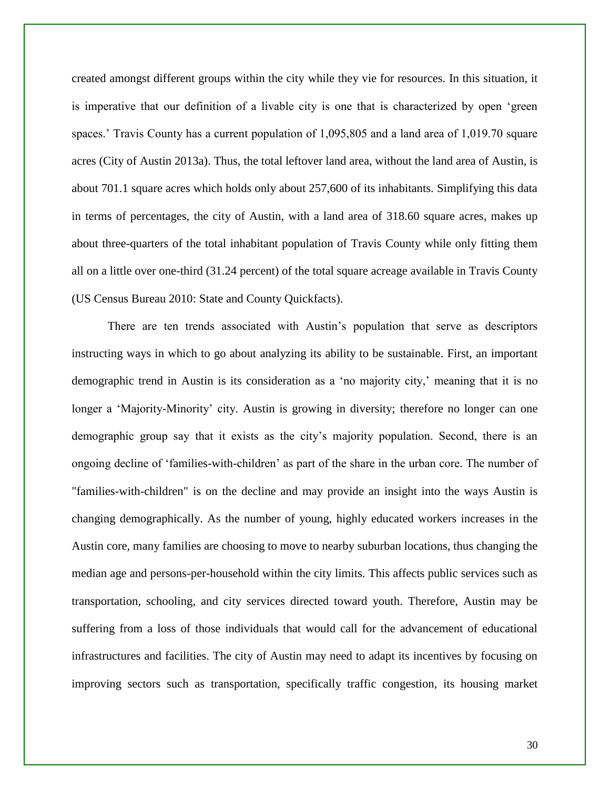created amongst different groups within the city while they vie for resources. In this situation, it is imperative that our definition of a livable city is one that is characterized by open 'green spaces.' Travis County has a current population of 1,095,805 and a land area of 1,019.70 square acres (City of Austin 2013a). Thus, the total leftover land area, without the land area of Austin, is about 701.1 square acres which holds only about 257,600 of its inhabitants. Simplifying this data in terms of percentages, the city of Austin, with a land area of 318.60 square acres, makes up about three-quarters of the total inhabitant population of Travis County while only fitting them all on a little over one-third (31.24 percent) of the total square acreage available in Travis County (US Census Bureau 2010: State and County Quickfacts).

There are ten trends associated with Austin's population that serve as descriptors instructing ways in which to go about analyzing its ability to be sustainable. First, an important demographic trend in Austin is its consideration as a 'no majority city,' meaning that it is no longer a 'Majority-Minority' city. Austin is growing in diversity; therefore no longer can one demographic group say that it exists as the city's majority population. Second, there is an ongoing decline of 'families-with-children' as part of the share in the urban core. The number of "families-with-children" is on the decline and may provide an insight into the ways Austin is changing demographically. As the number of young, highly educated workers increases in the Austin core, many families are choosing to move to nearby suburban locations, thus changing the median age and persons-per-household within the city limits. This affects public services such as transportation, schooling, and city services directed toward youth. Therefore, Austin may be suffering from a loss of those individuals that would call for the advancement of educational infrastructures and facilities. The city of Austin may need to adapt its incentives by focusing on improving sectors such as transportation, specifically traffic congestion, its housing market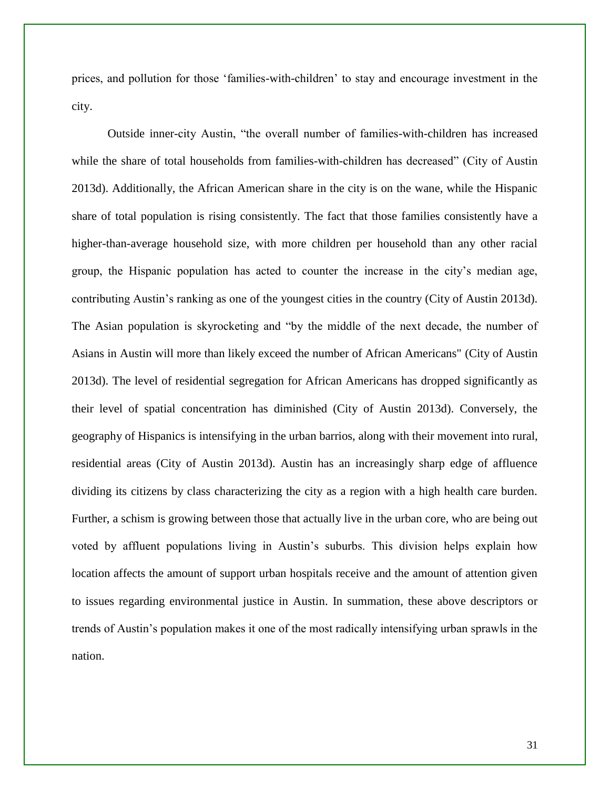prices, and pollution for those 'families-with-children' to stay and encourage investment in the city.

Outside inner-city Austin, "the overall number of families-with-children has increased while the share of total households from families-with-children has decreased" (City of Austin 2013d). Additionally, the African American share in the city is on the wane, while the Hispanic share of total population is rising consistently. The fact that those families consistently have a higher-than-average household size, with more children per household than any other racial group, the Hispanic population has acted to counter the increase in the city's median age, contributing Austin's ranking as one of the youngest cities in the country (City of Austin 2013d). The Asian population is skyrocketing and "by the middle of the next decade, the number of Asians in Austin will more than likely exceed the number of African Americans" (City of Austin 2013d). The level of residential segregation for African Americans has dropped significantly as their level of spatial concentration has diminished (City of Austin 2013d). Conversely, the geography of Hispanics is intensifying in the urban barrios, along with their movement into rural, residential areas (City of Austin 2013d). Austin has an increasingly sharp edge of affluence dividing its citizens by class characterizing the city as a region with a high health care burden. Further, a schism is growing between those that actually live in the urban core, who are being out voted by affluent populations living in Austin's suburbs. This division helps explain how location affects the amount of support urban hospitals receive and the amount of attention given to issues regarding environmental justice in Austin. In summation, these above descriptors or trends of Austin's population makes it one of the most radically intensifying urban sprawls in the nation.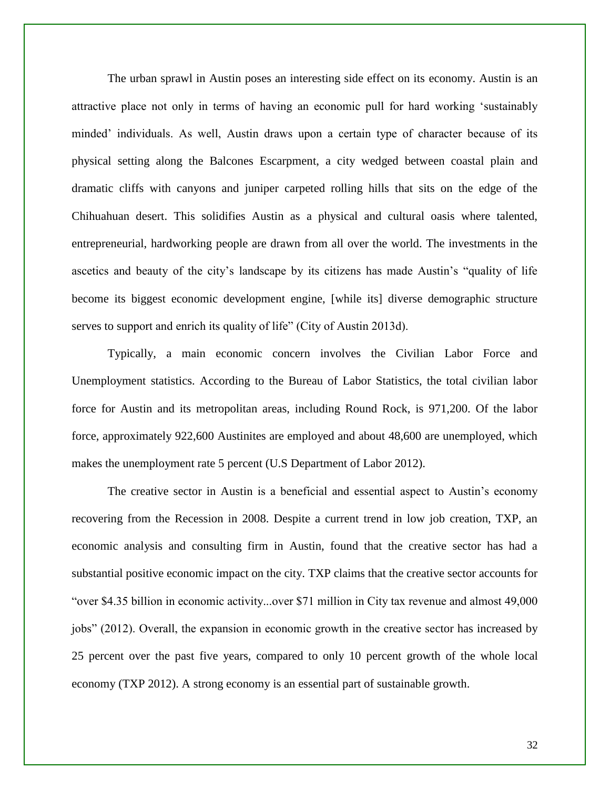The urban sprawl in Austin poses an interesting side effect on its economy. Austin is an attractive place not only in terms of having an economic pull for hard working 'sustainably minded' individuals. As well, Austin draws upon a certain type of character because of its physical setting along the Balcones Escarpment, a city wedged between coastal plain and dramatic cliffs with canyons and juniper carpeted rolling hills that sits on the edge of the Chihuahuan desert. This solidifies Austin as a physical and cultural oasis where talented, entrepreneurial, hardworking people are drawn from all over the world. The investments in the ascetics and beauty of the city's landscape by its citizens has made Austin's "quality of life become its biggest economic development engine, [while its] diverse demographic structure serves to support and enrich its quality of life" (City of Austin 2013d).

Typically, a main economic concern involves the Civilian Labor Force and Unemployment statistics. According to the Bureau of Labor Statistics, the total civilian labor force for Austin and its metropolitan areas, including Round Rock, is 971,200. Of the labor force, approximately 922,600 Austinites are employed and about 48,600 are unemployed, which makes the unemployment rate 5 percent (U.S Department of Labor 2012).

The creative sector in Austin is a beneficial and essential aspect to Austin's economy recovering from the Recession in 2008. Despite a current trend in low job creation, TXP, an economic analysis and consulting firm in Austin, found that the creative sector has had a substantial positive economic impact on the city. TXP claims that the creative sector accounts for "over \$4.35 billion in economic activity...over \$71 million in City tax revenue and almost 49,000 jobs" (2012). Overall, the expansion in economic growth in the creative sector has increased by 25 percent over the past five years, compared to only 10 percent growth of the whole local economy (TXP 2012). A strong economy is an essential part of sustainable growth.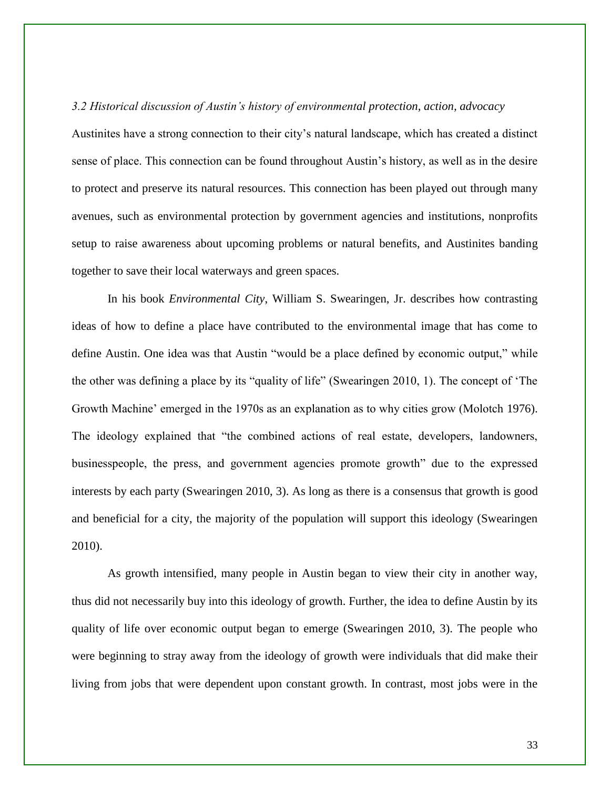*3.2 Historical discussion of Austin's history of environmental protection, action, advocacy* Austinites have a strong connection to their city's natural landscape, which has created a distinct sense of place. This connection can be found throughout Austin's history, as well as in the desire to protect and preserve its natural resources. This connection has been played out through many avenues, such as environmental protection by government agencies and institutions, nonprofits setup to raise awareness about upcoming problems or natural benefits, and Austinites banding together to save their local waterways and green spaces.

In his book *Environmental City*, William S. Swearingen, Jr. describes how contrasting ideas of how to define a place have contributed to the environmental image that has come to define Austin. One idea was that Austin "would be a place defined by economic output," while the other was defining a place by its "quality of life" (Swearingen 2010, 1). The concept of 'The Growth Machine' emerged in the 1970s as an explanation as to why cities grow (Molotch 1976). The ideology explained that "the combined actions of real estate, developers, landowners, businesspeople, the press, and government agencies promote growth" due to the expressed interests by each party (Swearingen 2010, 3). As long as there is a consensus that growth is good and beneficial for a city, the majority of the population will support this ideology (Swearingen 2010).

As growth intensified, many people in Austin began to view their city in another way, thus did not necessarily buy into this ideology of growth. Further, the idea to define Austin by its quality of life over economic output began to emerge (Swearingen 2010, 3). The people who were beginning to stray away from the ideology of growth were individuals that did make their living from jobs that were dependent upon constant growth. In contrast, most jobs were in the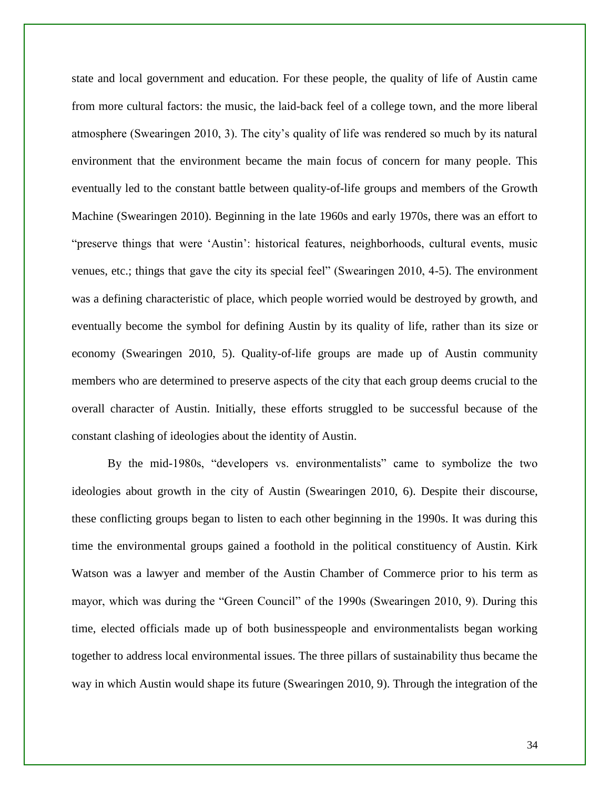state and local government and education. For these people, the quality of life of Austin came from more cultural factors: the music, the laid-back feel of a college town, and the more liberal atmosphere (Swearingen 2010, 3). The city's quality of life was rendered so much by its natural environment that the environment became the main focus of concern for many people. This eventually led to the constant battle between quality-of-life groups and members of the Growth Machine (Swearingen 2010). Beginning in the late 1960s and early 1970s, there was an effort to "preserve things that were 'Austin': historical features, neighborhoods, cultural events, music venues, etc.; things that gave the city its special feel" (Swearingen 2010, 4-5). The environment was a defining characteristic of place, which people worried would be destroyed by growth, and eventually become the symbol for defining Austin by its quality of life, rather than its size or economy (Swearingen 2010, 5). Quality-of-life groups are made up of Austin community members who are determined to preserve aspects of the city that each group deems crucial to the overall character of Austin. Initially, these efforts struggled to be successful because of the constant clashing of ideologies about the identity of Austin.

By the mid-1980s, "developers vs. environmentalists" came to symbolize the two ideologies about growth in the city of Austin (Swearingen 2010, 6). Despite their discourse, these conflicting groups began to listen to each other beginning in the 1990s. It was during this time the environmental groups gained a foothold in the political constituency of Austin. Kirk Watson was a lawyer and member of the Austin Chamber of Commerce prior to his term as mayor, which was during the "Green Council" of the 1990s (Swearingen 2010, 9). During this time, elected officials made up of both businesspeople and environmentalists began working together to address local environmental issues. The three pillars of sustainability thus became the way in which Austin would shape its future (Swearingen 2010, 9). Through the integration of the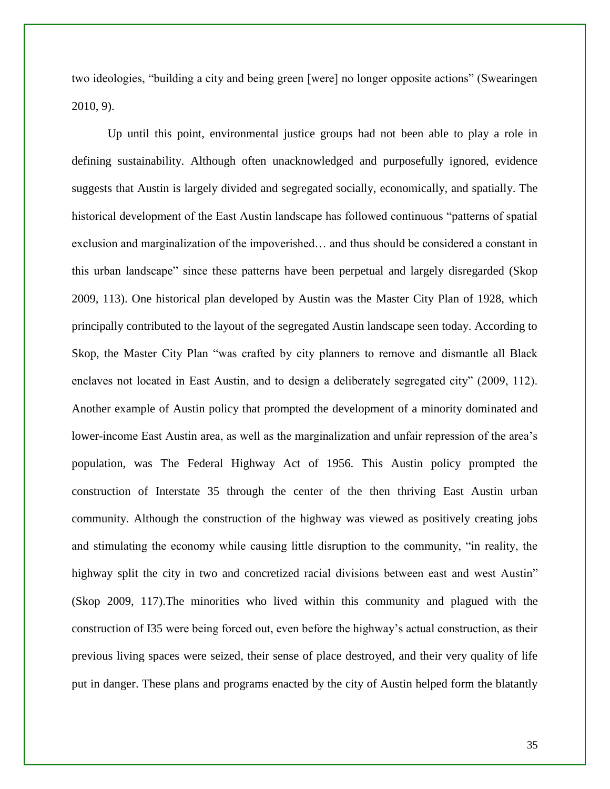two ideologies, "building a city and being green [were] no longer opposite actions" (Swearingen 2010, 9).

Up until this point, environmental justice groups had not been able to play a role in defining sustainability. Although often unacknowledged and purposefully ignored, evidence suggests that Austin is largely divided and segregated socially, economically, and spatially. The historical development of the East Austin landscape has followed continuous "patterns of spatial exclusion and marginalization of the impoverished… and thus should be considered a constant in this urban landscape" since these patterns have been perpetual and largely disregarded (Skop 2009, 113). One historical plan developed by Austin was the Master City Plan of 1928, which principally contributed to the layout of the segregated Austin landscape seen today. According to Skop, the Master City Plan "was crafted by city planners to remove and dismantle all Black enclaves not located in East Austin, and to design a deliberately segregated city" (2009, 112). Another example of Austin policy that prompted the development of a minority dominated and lower-income East Austin area, as well as the marginalization and unfair repression of the area's population, was The Federal Highway Act of 1956. This Austin policy prompted the construction of Interstate 35 through the center of the then thriving East Austin urban community. Although the construction of the highway was viewed as positively creating jobs and stimulating the economy while causing little disruption to the community, "in reality, the highway split the city in two and concretized racial divisions between east and west Austin" (Skop 2009, 117).The minorities who lived within this community and plagued with the construction of I35 were being forced out, even before the highway's actual construction, as their previous living spaces were seized, their sense of place destroyed, and their very quality of life put in danger. These plans and programs enacted by the city of Austin helped form the blatantly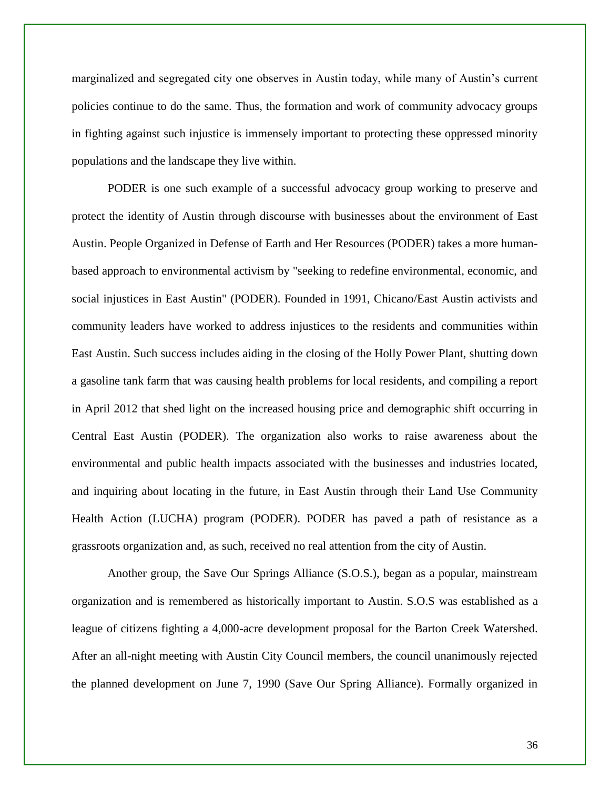marginalized and segregated city one observes in Austin today, while many of Austin's current policies continue to do the same. Thus, the formation and work of community advocacy groups in fighting against such injustice is immensely important to protecting these oppressed minority populations and the landscape they live within.

PODER is one such example of a successful advocacy group working to preserve and protect the identity of Austin through discourse with businesses about the environment of East Austin. People Organized in Defense of Earth and Her Resources (PODER) takes a more humanbased approach to environmental activism by "seeking to redefine environmental, economic, and social injustices in East Austin" (PODER). Founded in 1991, Chicano/East Austin activists and community leaders have worked to address injustices to the residents and communities within East Austin. Such success includes aiding in the closing of the Holly Power Plant, shutting down a gasoline tank farm that was causing health problems for local residents, and compiling a report in April 2012 that shed light on the increased housing price and demographic shift occurring in Central East Austin (PODER). The organization also works to raise awareness about the environmental and public health impacts associated with the businesses and industries located, and inquiring about locating in the future, in East Austin through their Land Use Community Health Action (LUCHA) program (PODER). PODER has paved a path of resistance as a grassroots organization and, as such, received no real attention from the city of Austin.

Another group, the Save Our Springs Alliance (S.O.S.), began as a popular, mainstream organization and is remembered as historically important to Austin. S.O.S was established as a league of citizens fighting a 4,000-acre development proposal for the Barton Creek Watershed. After an all-night meeting with Austin City Council members, the council unanimously rejected the planned development on June 7, 1990 (Save Our Spring Alliance). Formally organized in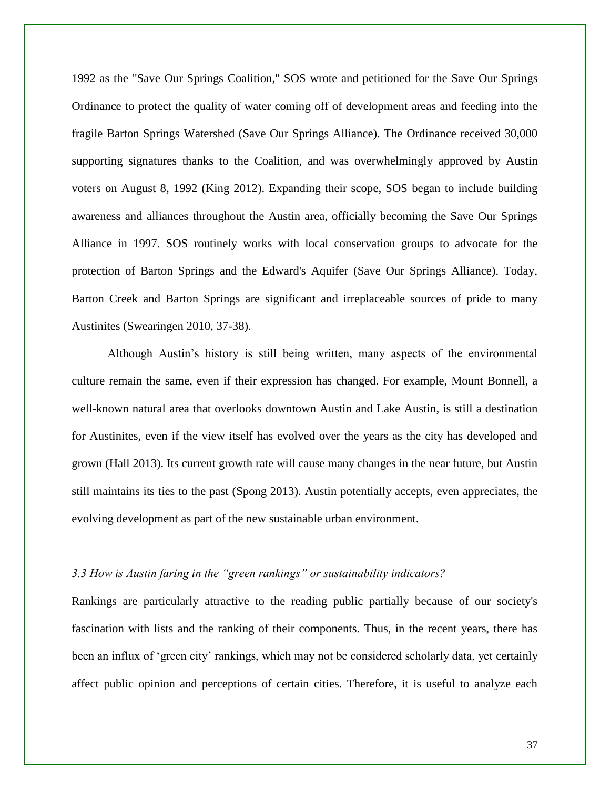1992 as the "Save Our Springs Coalition," SOS wrote and petitioned for the Save Our Springs Ordinance to protect the quality of water coming off of development areas and feeding into the fragile Barton Springs Watershed (Save Our Springs Alliance). The Ordinance received 30,000 supporting signatures thanks to the Coalition, and was overwhelmingly approved by Austin voters on August 8, 1992 (King 2012). Expanding their scope, SOS began to include building awareness and alliances throughout the Austin area, officially becoming the Save Our Springs Alliance in 1997. SOS routinely works with local conservation groups to advocate for the protection of Barton Springs and the Edward's Aquifer (Save Our Springs Alliance). Today, Barton Creek and Barton Springs are significant and irreplaceable sources of pride to many Austinites (Swearingen 2010, 37-38).

Although Austin's history is still being written, many aspects of the environmental culture remain the same, even if their expression has changed. For example, Mount Bonnell, a well-known natural area that overlooks downtown Austin and Lake Austin, is still a destination for Austinites, even if the view itself has evolved over the years as the city has developed and grown (Hall 2013). Its current growth rate will cause many changes in the near future, but Austin still maintains its ties to the past (Spong 2013). Austin potentially accepts, even appreciates, the evolving development as part of the new sustainable urban environment.

#### *3.3 How is Austin faring in the "green rankings" or sustainability indicators?*

Rankings are particularly attractive to the reading public partially because of our society's fascination with lists and the ranking of their components. Thus, in the recent years, there has been an influx of 'green city' rankings, which may not be considered scholarly data, yet certainly affect public opinion and perceptions of certain cities. Therefore, it is useful to analyze each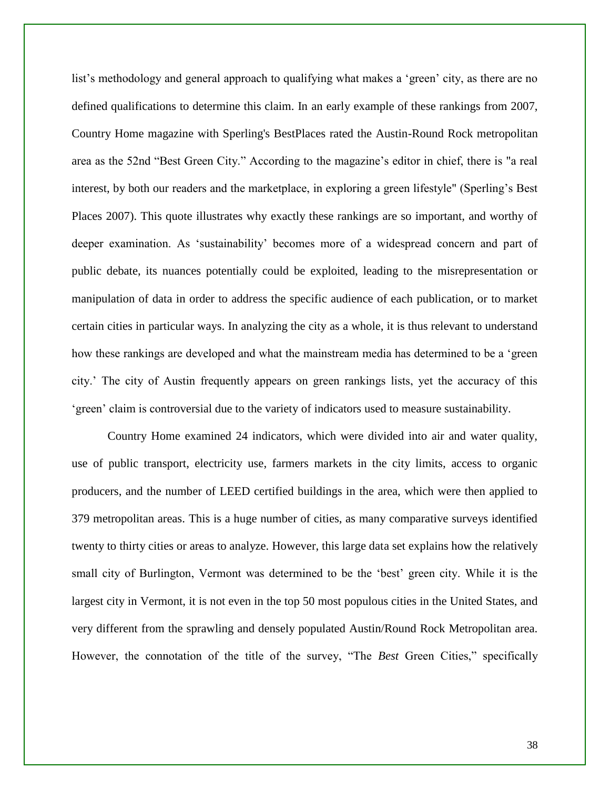list's methodology and general approach to qualifying what makes a 'green' city, as there are no defined qualifications to determine this claim. In an early example of these rankings from 2007, Country Home magazine with Sperling's BestPlaces rated the Austin-Round Rock metropolitan area as the 52nd "Best Green City." According to the magazine's editor in chief, there is "a real interest, by both our readers and the marketplace, in exploring a green lifestyle" (Sperling's Best Places 2007). This quote illustrates why exactly these rankings are so important, and worthy of deeper examination. As 'sustainability' becomes more of a widespread concern and part of public debate, its nuances potentially could be exploited, leading to the misrepresentation or manipulation of data in order to address the specific audience of each publication, or to market certain cities in particular ways. In analyzing the city as a whole, it is thus relevant to understand how these rankings are developed and what the mainstream media has determined to be a 'green city.' The city of Austin frequently appears on green rankings lists, yet the accuracy of this 'green' claim is controversial due to the variety of indicators used to measure sustainability.

Country Home examined 24 indicators, which were divided into air and water quality, use of public transport, electricity use, farmers markets in the city limits, access to organic producers, and the number of LEED certified buildings in the area, which were then applied to 379 metropolitan areas. This is a huge number of cities, as many comparative surveys identified twenty to thirty cities or areas to analyze. However, this large data set explains how the relatively small city of Burlington, Vermont was determined to be the 'best' green city. While it is the largest city in Vermont, it is not even in the top 50 most populous cities in the United States, and very different from the sprawling and densely populated Austin/Round Rock Metropolitan area. However, the connotation of the title of the survey, "The *Best* Green Cities," specifically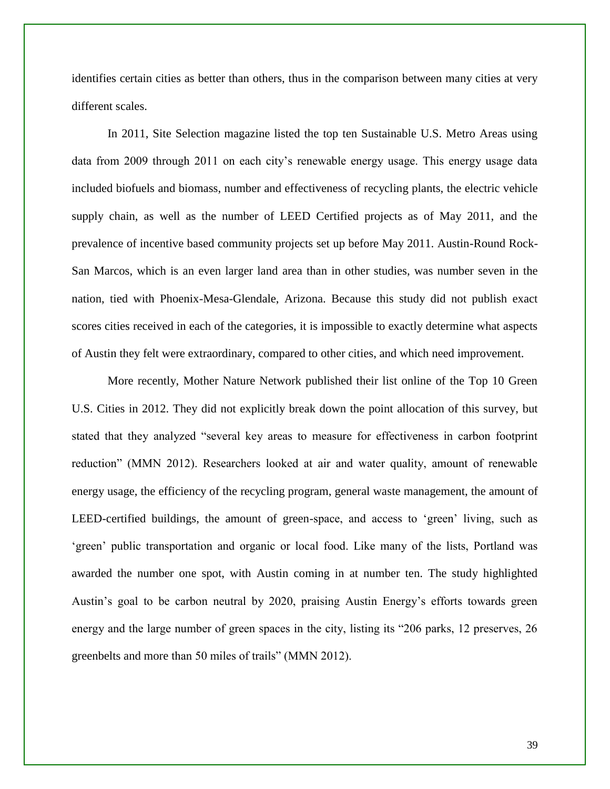identifies certain cities as better than others, thus in the comparison between many cities at very different scales.

In 2011, Site Selection magazine listed the top ten Sustainable U.S. Metro Areas using data from 2009 through 2011 on each city's renewable energy usage. This energy usage data included biofuels and biomass, number and effectiveness of recycling plants, the electric vehicle supply chain, as well as the number of LEED Certified projects as of May 2011, and the prevalence of incentive based community projects set up before May 2011. Austin-Round Rock-San Marcos, which is an even larger land area than in other studies, was number seven in the nation, tied with Phoenix-Mesa-Glendale, Arizona. Because this study did not publish exact scores cities received in each of the categories, it is impossible to exactly determine what aspects of Austin they felt were extraordinary, compared to other cities, and which need improvement.

More recently, Mother Nature Network published their list online of the Top 10 Green U.S. Cities in 2012. They did not explicitly break down the point allocation of this survey, but stated that they analyzed "several key areas to measure for effectiveness in carbon footprint reduction" (MMN 2012). Researchers looked at air and water quality, amount of renewable energy usage, the efficiency of the recycling program, general waste management, the amount of LEED-certified buildings, the amount of green-space, and access to 'green' living, such as 'green' public transportation and organic or local food. Like many of the lists, Portland was awarded the number one spot, with Austin coming in at number ten. The study highlighted Austin's goal to be carbon neutral by 2020, praising Austin Energy's efforts towards green energy and the large number of green spaces in the city, listing its "206 parks, 12 preserves, 26 greenbelts and more than 50 miles of trails" (MMN 2012).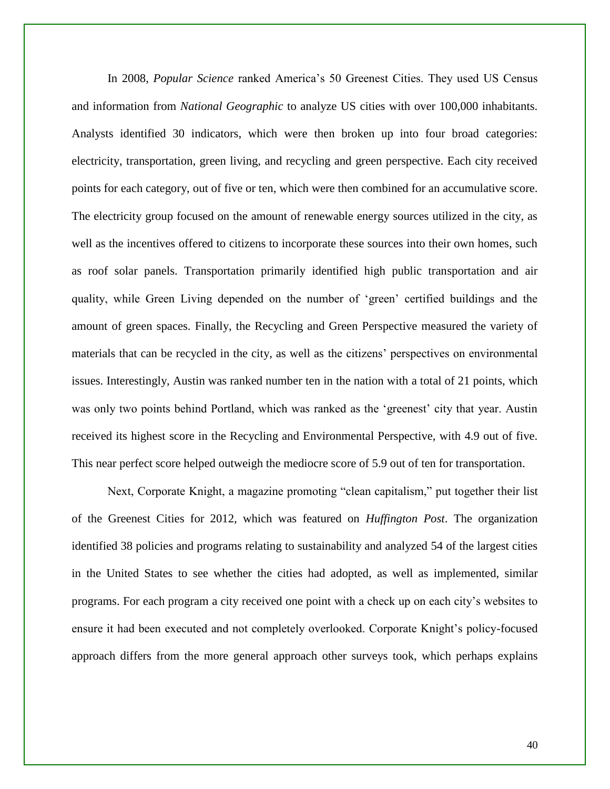In 2008, *Popular Science* ranked America's 50 Greenest Cities. They used US Census and information from *National Geographic* to analyze US cities with over 100,000 inhabitants. Analysts identified 30 indicators, which were then broken up into four broad categories: electricity, transportation, green living, and recycling and green perspective. Each city received points for each category, out of five or ten, which were then combined for an accumulative score. The electricity group focused on the amount of renewable energy sources utilized in the city, as well as the incentives offered to citizens to incorporate these sources into their own homes, such as roof solar panels. Transportation primarily identified high public transportation and air quality, while Green Living depended on the number of 'green' certified buildings and the amount of green spaces. Finally, the Recycling and Green Perspective measured the variety of materials that can be recycled in the city, as well as the citizens' perspectives on environmental issues. Interestingly, Austin was ranked number ten in the nation with a total of 21 points, which was only two points behind Portland, which was ranked as the 'greenest' city that year. Austin received its highest score in the Recycling and Environmental Perspective, with 4.9 out of five. This near perfect score helped outweigh the mediocre score of 5.9 out of ten for transportation.

Next, Corporate Knight, a magazine promoting "clean capitalism," put together their list of the Greenest Cities for 2012, which was featured on *Huffington Post*. The organization identified 38 policies and programs relating to sustainability and analyzed 54 of the largest cities in the United States to see whether the cities had adopted, as well as implemented, similar programs. For each program a city received one point with a check up on each city's websites to ensure it had been executed and not completely overlooked. Corporate Knight's policy-focused approach differs from the more general approach other surveys took, which perhaps explains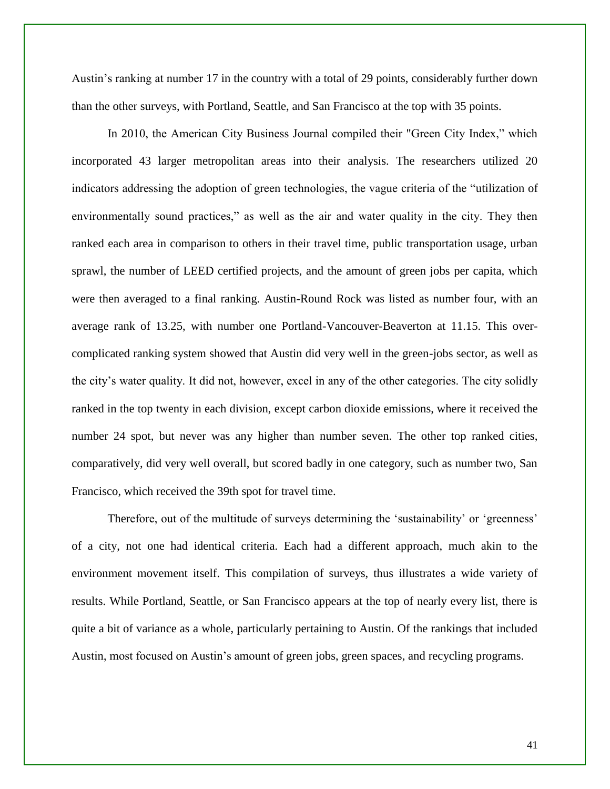Austin's ranking at number 17 in the country with a total of 29 points, considerably further down than the other surveys, with Portland, Seattle, and San Francisco at the top with 35 points.

In 2010, the American City Business Journal compiled their "Green City Index," which incorporated 43 larger metropolitan areas into their analysis. The researchers utilized 20 indicators addressing the adoption of green technologies, the vague criteria of the "utilization of environmentally sound practices," as well as the air and water quality in the city. They then ranked each area in comparison to others in their travel time, public transportation usage, urban sprawl, the number of LEED certified projects, and the amount of green jobs per capita, which were then averaged to a final ranking. Austin-Round Rock was listed as number four, with an average rank of 13.25, with number one Portland-Vancouver-Beaverton at 11.15. This overcomplicated ranking system showed that Austin did very well in the green-jobs sector, as well as the city's water quality. It did not, however, excel in any of the other categories. The city solidly ranked in the top twenty in each division, except carbon dioxide emissions, where it received the number 24 spot, but never was any higher than number seven. The other top ranked cities, comparatively, did very well overall, but scored badly in one category, such as number two, San Francisco, which received the 39th spot for travel time.

Therefore, out of the multitude of surveys determining the 'sustainability' or 'greenness' of a city, not one had identical criteria. Each had a different approach, much akin to the environment movement itself. This compilation of surveys, thus illustrates a wide variety of results. While Portland, Seattle, or San Francisco appears at the top of nearly every list, there is quite a bit of variance as a whole, particularly pertaining to Austin. Of the rankings that included Austin, most focused on Austin's amount of green jobs, green spaces, and recycling programs.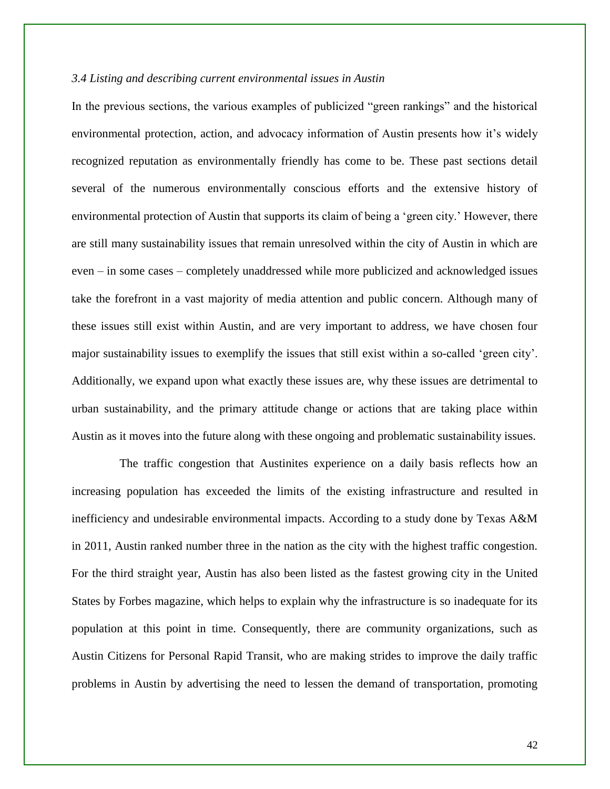#### *3.4 Listing and describing current environmental issues in Austin*

In the previous sections, the various examples of publicized "green rankings" and the historical environmental protection, action, and advocacy information of Austin presents how it's widely recognized reputation as environmentally friendly has come to be. These past sections detail several of the numerous environmentally conscious efforts and the extensive history of environmental protection of Austin that supports its claim of being a 'green city.' However, there are still many sustainability issues that remain unresolved within the city of Austin in which are even – in some cases – completely unaddressed while more publicized and acknowledged issues take the forefront in a vast majority of media attention and public concern. Although many of these issues still exist within Austin, and are very important to address, we have chosen four major sustainability issues to exemplify the issues that still exist within a so-called 'green city'. Additionally, we expand upon what exactly these issues are, why these issues are detrimental to urban sustainability, and the primary attitude change or actions that are taking place within Austin as it moves into the future along with these ongoing and problematic sustainability issues.

The traffic congestion that Austinites experience on a daily basis reflects how an increasing population has exceeded the limits of the existing infrastructure and resulted in inefficiency and undesirable environmental impacts. According to a study done by Texas A&M in 2011, Austin ranked number three in the nation as the city with the highest traffic congestion. For the third straight year, Austin has also been listed as the fastest growing city in the United States by Forbes magazine, which helps to explain why the infrastructure is so inadequate for its population at this point in time. Consequently, there are community organizations, such as Austin Citizens for Personal Rapid Transit, who are making strides to improve the daily traffic problems in Austin by advertising the need to lessen the demand of transportation, promoting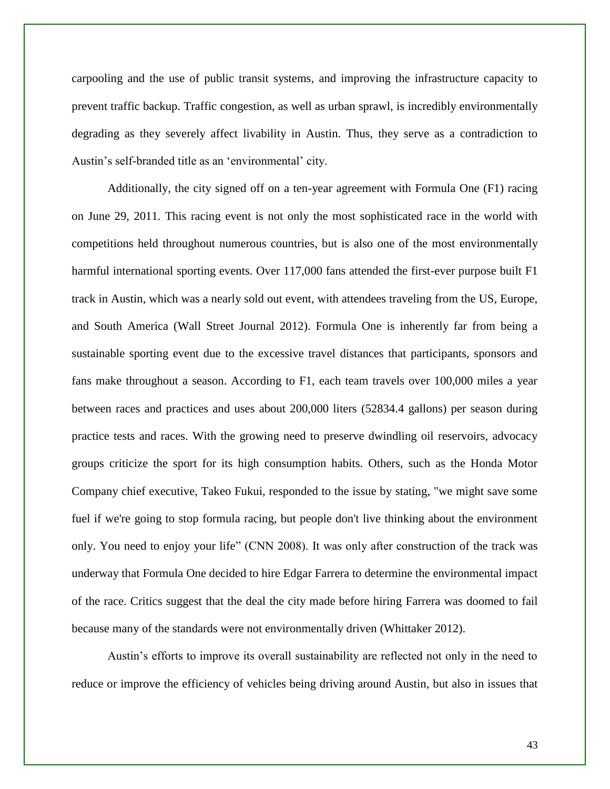carpooling and the use of public transit systems, and improving the infrastructure capacity to prevent traffic backup. Traffic congestion, as well as urban sprawl, is incredibly environmentally degrading as they severely affect livability in Austin. Thus, they serve as a contradiction to Austin's self-branded title as an 'environmental' city.

Additionally, the city signed off on a ten-year agreement with Formula One (F1) racing on June 29, 2011. This racing event is not only the most sophisticated race in the world with competitions held throughout numerous countries, but is also one of the most environmentally harmful international sporting events. Over 117,000 fans attended the first-ever purpose built F1 track in Austin, which was a nearly sold out event, with attendees traveling from the US, Europe, and South America (Wall Street Journal 2012). Formula One is inherently far from being a sustainable sporting event due to the excessive travel distances that participants, sponsors and fans make throughout a season. According to F1, each team travels over 100,000 miles a year between races and practices and uses about 200,000 liters (52834.4 gallons) per season during practice tests and races. With the growing need to preserve dwindling oil reservoirs, advocacy groups criticize the sport for its high consumption habits. Others, such as the Honda Motor Company chief executive, Takeo Fukui, responded to the issue by stating, "we might save some fuel if we're going to stop formula racing, but people don't live thinking about the environment only. You need to enjoy your life" (CNN 2008). It was only after construction of the track was underway that Formula One decided to hire Edgar Farrera to determine the environmental impact of the race. Critics suggest that the deal the city made before hiring Farrera was doomed to fail because many of the standards were not environmentally driven (Whittaker 2012).

Austin's efforts to improve its overall sustainability are reflected not only in the need to reduce or improve the efficiency of vehicles being driving around Austin, but also in issues that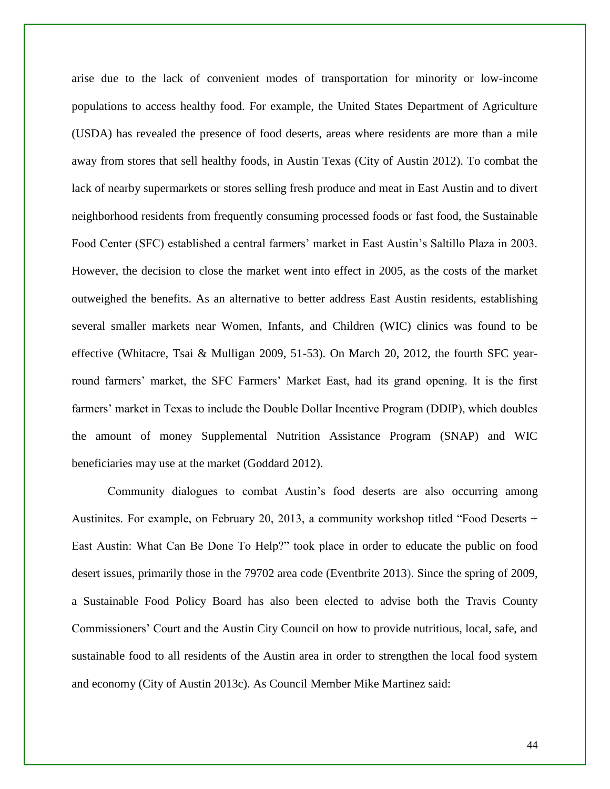arise due to the lack of convenient modes of transportation for minority or low-income populations to access healthy food. For example, the United States Department of Agriculture (USDA) has revealed the presence of food deserts, areas where residents are more than a mile away from stores that sell healthy foods, in Austin Texas (City of Austin 2012). To combat the lack of nearby supermarkets or stores selling fresh produce and meat in East Austin and to divert neighborhood residents from frequently consuming processed foods or fast food, the Sustainable Food Center (SFC) established a central farmers' market in East Austin's Saltillo Plaza in 2003. However, the decision to close the market went into effect in 2005, as the costs of the market outweighed the benefits. As an alternative to better address East Austin residents, establishing several smaller markets near Women, Infants, and Children (WIC) clinics was found to be effective (Whitacre, Tsai & Mulligan 2009, 51-53). On March 20, 2012, the fourth SFC yearround farmers' market, the SFC Farmers' Market East, had its grand opening. It is the first farmers' market in Texas to include the Double Dollar Incentive Program (DDIP), which doubles the amount of money Supplemental Nutrition Assistance Program (SNAP) and WIC beneficiaries may use at the market (Goddard 2012).

Community dialogues to combat Austin's food deserts are also occurring among Austinites. For example, on February 20, 2013, a community workshop titled "Food Deserts + East Austin: What Can Be Done To Help?" took place in order to educate the public on food desert issues, primarily those in the 79702 area code (Eventbrite 2013). Since the spring of 2009, a Sustainable Food Policy Board has also been elected to advise both the Travis County Commissioners' Court and the Austin City Council on how to provide nutritious, local, safe, and sustainable food to all residents of the Austin area in order to strengthen the local food system and economy (City of Austin 2013c). As Council Member Mike Martinez said: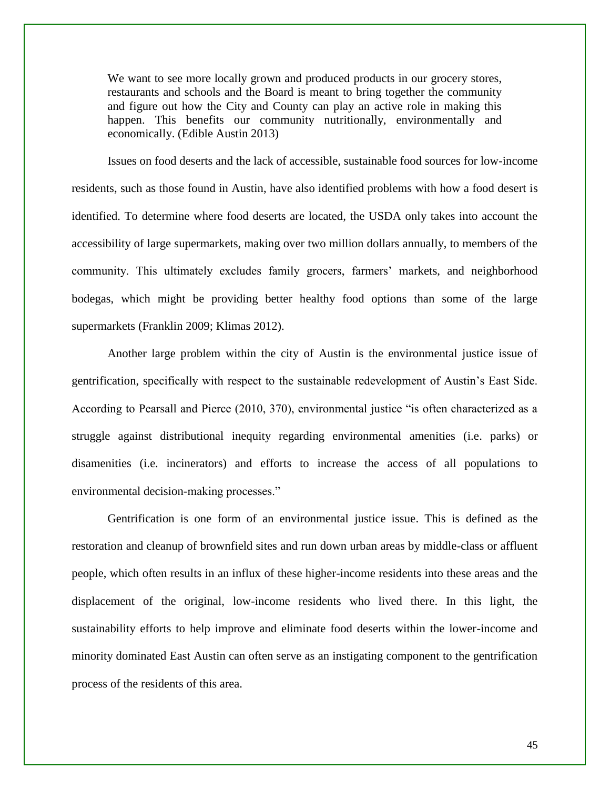We want to see more locally grown and produced products in our grocery stores, restaurants and schools and the Board is meant to bring together the community and figure out how the City and County can play an active role in making this happen. This benefits our community nutritionally, environmentally and economically. (Edible Austin 2013)

Issues on food deserts and the lack of accessible, sustainable food sources for low-income residents, such as those found in Austin, have also identified problems with how a food desert is identified. To determine where food deserts are located, the USDA only takes into account the accessibility of large supermarkets, making over two million dollars annually, to members of the community. This ultimately excludes family grocers, farmers' markets, and neighborhood bodegas, which might be providing better healthy food options than some of the large supermarkets (Franklin 2009; Klimas 2012).

Another large problem within the city of Austin is the environmental justice issue of gentrification, specifically with respect to the sustainable redevelopment of Austin's East Side. According to Pearsall and Pierce (2010, 370), environmental justice "is often characterized as a struggle against distributional inequity regarding environmental amenities (i.e. parks) or disamenities (i.e. incinerators) and efforts to increase the access of all populations to environmental decision-making processes."

Gentrification is one form of an environmental justice issue. This is defined as the restoration and cleanup of brownfield sites and run down urban areas by middle-class or affluent people, which often results in an influx of these higher-income residents into these areas and the displacement of the original, low-income residents who lived there. In this light, the sustainability efforts to help improve and eliminate food deserts within the lower-income and minority dominated East Austin can often serve as an instigating component to the gentrification process of the residents of this area.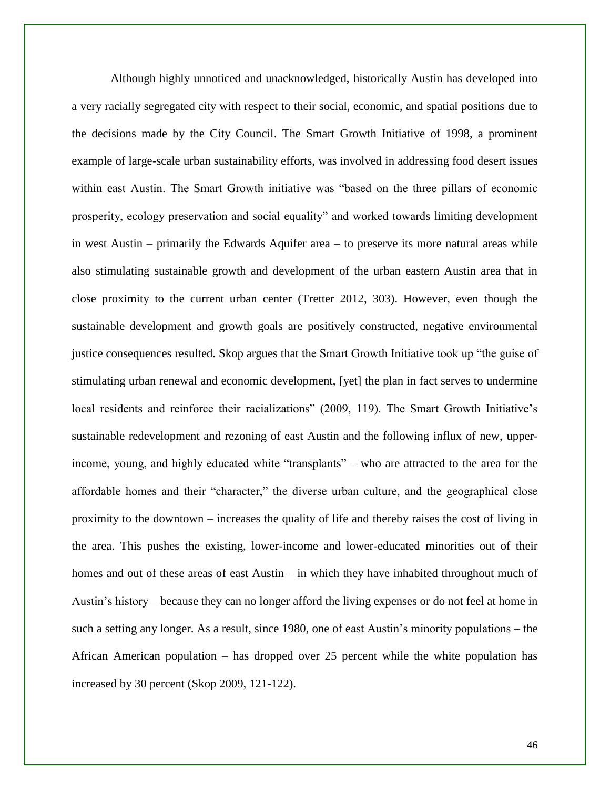Although highly unnoticed and unacknowledged, historically Austin has developed into a very racially segregated city with respect to their social, economic, and spatial positions due to the decisions made by the City Council. The Smart Growth Initiative of 1998, a prominent example of large-scale urban sustainability efforts, was involved in addressing food desert issues within east Austin. The Smart Growth initiative was "based on the three pillars of economic prosperity, ecology preservation and social equality" and worked towards limiting development in west Austin – primarily the Edwards Aquifer area – to preserve its more natural areas while also stimulating sustainable growth and development of the urban eastern Austin area that in close proximity to the current urban center (Tretter 2012, 303). However, even though the sustainable development and growth goals are positively constructed, negative environmental justice consequences resulted. Skop argues that the Smart Growth Initiative took up "the guise of stimulating urban renewal and economic development, [yet] the plan in fact serves to undermine local residents and reinforce their racializations" (2009, 119). The Smart Growth Initiative's sustainable redevelopment and rezoning of east Austin and the following influx of new, upperincome, young, and highly educated white "transplants" – who are attracted to the area for the affordable homes and their "character," the diverse urban culture, and the geographical close proximity to the downtown – increases the quality of life and thereby raises the cost of living in the area. This pushes the existing, lower-income and lower-educated minorities out of their homes and out of these areas of east Austin – in which they have inhabited throughout much of Austin's history – because they can no longer afford the living expenses or do not feel at home in such a setting any longer. As a result, since 1980, one of east Austin's minority populations – the African American population – has dropped over 25 percent while the white population has increased by 30 percent (Skop 2009, 121-122).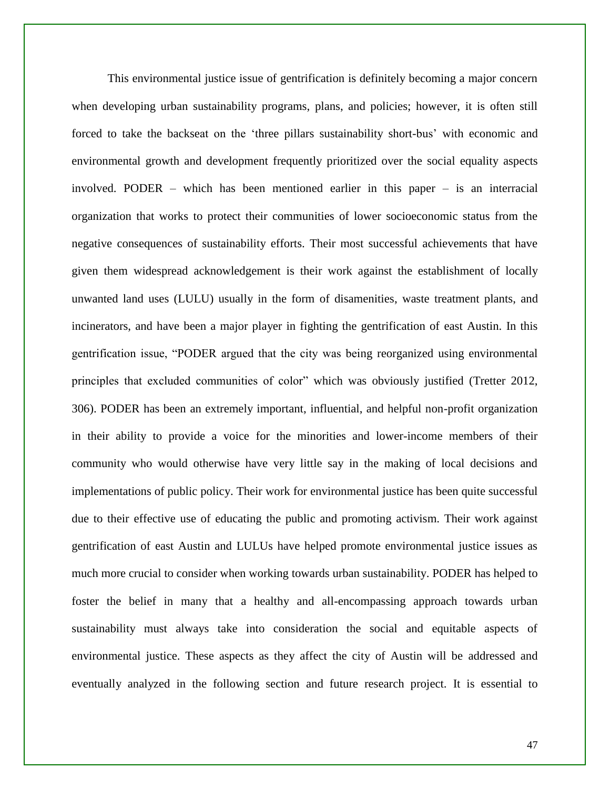This environmental justice issue of gentrification is definitely becoming a major concern when developing urban sustainability programs, plans, and policies; however, it is often still forced to take the backseat on the 'three pillars sustainability short-bus' with economic and environmental growth and development frequently prioritized over the social equality aspects involved. PODER – which has been mentioned earlier in this paper – is an interracial organization that works to protect their communities of lower socioeconomic status from the negative consequences of sustainability efforts. Their most successful achievements that have given them widespread acknowledgement is their work against the establishment of locally unwanted land uses (LULU) usually in the form of disamenities, waste treatment plants, and incinerators, and have been a major player in fighting the gentrification of east Austin. In this gentrification issue, "PODER argued that the city was being reorganized using environmental principles that excluded communities of color" which was obviously justified (Tretter 2012, 306). PODER has been an extremely important, influential, and helpful non-profit organization in their ability to provide a voice for the minorities and lower-income members of their community who would otherwise have very little say in the making of local decisions and implementations of public policy. Their work for environmental justice has been quite successful due to their effective use of educating the public and promoting activism. Their work against gentrification of east Austin and LULUs have helped promote environmental justice issues as much more crucial to consider when working towards urban sustainability. PODER has helped to foster the belief in many that a healthy and all-encompassing approach towards urban sustainability must always take into consideration the social and equitable aspects of environmental justice. These aspects as they affect the city of Austin will be addressed and eventually analyzed in the following section and future research project. It is essential to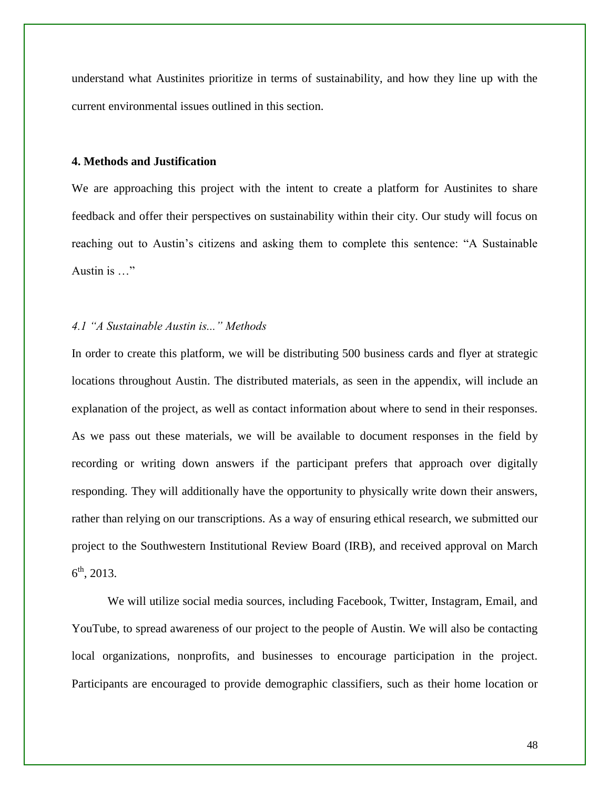understand what Austinites prioritize in terms of sustainability, and how they line up with the current environmental issues outlined in this section.

#### **4. Methods and Justification**

We are approaching this project with the intent to create a platform for Austinites to share feedback and offer their perspectives on sustainability within their city. Our study will focus on reaching out to Austin's citizens and asking them to complete this sentence: "A Sustainable Austin is …"

#### *4.1 "A Sustainable Austin is..." Methods*

In order to create this platform, we will be distributing 500 business cards and flyer at strategic locations throughout Austin. The distributed materials, as seen in the appendix, will include an explanation of the project, as well as contact information about where to send in their responses. As we pass out these materials, we will be available to document responses in the field by recording or writing down answers if the participant prefers that approach over digitally responding. They will additionally have the opportunity to physically write down their answers, rather than relying on our transcriptions. As a way of ensuring ethical research, we submitted our project to the Southwestern Institutional Review Board (IRB), and received approval on March  $6^{\text{th}}$ , 2013.

We will utilize social media sources, including Facebook, Twitter, Instagram, Email, and YouTube, to spread awareness of our project to the people of Austin. We will also be contacting local organizations, nonprofits, and businesses to encourage participation in the project. Participants are encouraged to provide demographic classifiers, such as their home location or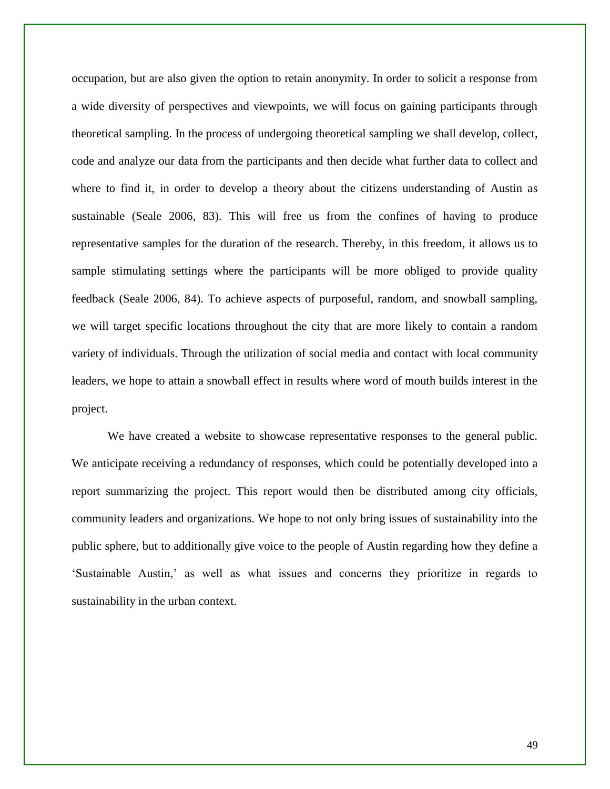occupation, but are also given the option to retain anonymity. In order to solicit a response from a wide diversity of perspectives and viewpoints, we will focus on gaining participants through theoretical sampling. In the process of undergoing theoretical sampling we shall develop, collect, code and analyze our data from the participants and then decide what further data to collect and where to find it, in order to develop a theory about the citizens understanding of Austin as sustainable (Seale 2006, 83). This will free us from the confines of having to produce representative samples for the duration of the research. Thereby, in this freedom, it allows us to sample stimulating settings where the participants will be more obliged to provide quality feedback (Seale 2006, 84). To achieve aspects of purposeful, random, and snowball sampling, we will target specific locations throughout the city that are more likely to contain a random variety of individuals. Through the utilization of social media and contact with local community leaders, we hope to attain a snowball effect in results where word of mouth builds interest in the project.

We have created a website to showcase representative responses to the general public. We anticipate receiving a redundancy of responses, which could be potentially developed into a report summarizing the project. This report would then be distributed among city officials, community leaders and organizations. We hope to not only bring issues of sustainability into the public sphere, but to additionally give voice to the people of Austin regarding how they define a 'Sustainable Austin,' as well as what issues and concerns they prioritize in regards to sustainability in the urban context.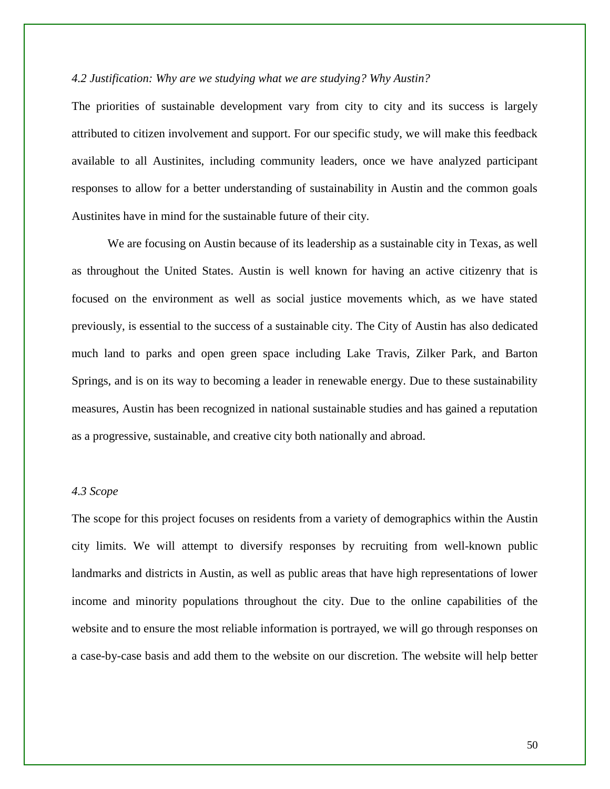#### *4.2 Justification: Why are we studying what we are studying? Why Austin?*

The priorities of sustainable development vary from city to city and its success is largely attributed to citizen involvement and support. For our specific study, we will make this feedback available to all Austinites, including community leaders, once we have analyzed participant responses to allow for a better understanding of sustainability in Austin and the common goals Austinites have in mind for the sustainable future of their city.

We are focusing on Austin because of its leadership as a sustainable city in Texas, as well as throughout the United States. Austin is well known for having an active citizenry that is focused on the environment as well as social justice movements which, as we have stated previously, is essential to the success of a sustainable city. The City of Austin has also dedicated much land to parks and open green space including Lake Travis, Zilker Park, and Barton Springs, and is on its way to becoming a leader in renewable energy. Due to these sustainability measures, Austin has been recognized in national sustainable studies and has gained a reputation as a progressive, sustainable, and creative city both nationally and abroad.

#### *4.3 Scope*

The scope for this project focuses on residents from a variety of demographics within the Austin city limits. We will attempt to diversify responses by recruiting from well-known public landmarks and districts in Austin, as well as public areas that have high representations of lower income and minority populations throughout the city. Due to the online capabilities of the website and to ensure the most reliable information is portrayed, we will go through responses on a case-by-case basis and add them to the website on our discretion. The website will help better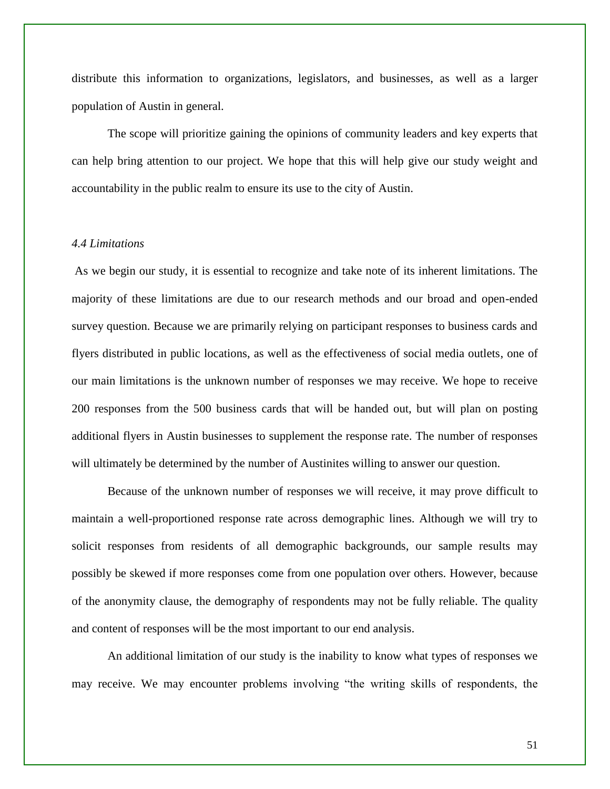distribute this information to organizations, legislators, and businesses, as well as a larger population of Austin in general.

The scope will prioritize gaining the opinions of community leaders and key experts that can help bring attention to our project. We hope that this will help give our study weight and accountability in the public realm to ensure its use to the city of Austin.

#### *4.4 Limitations*

As we begin our study, it is essential to recognize and take note of its inherent limitations. The majority of these limitations are due to our research methods and our broad and open-ended survey question. Because we are primarily relying on participant responses to business cards and flyers distributed in public locations, as well as the effectiveness of social media outlets, one of our main limitations is the unknown number of responses we may receive. We hope to receive 200 responses from the 500 business cards that will be handed out, but will plan on posting additional flyers in Austin businesses to supplement the response rate. The number of responses will ultimately be determined by the number of Austinites willing to answer our question.

Because of the unknown number of responses we will receive, it may prove difficult to maintain a well-proportioned response rate across demographic lines. Although we will try to solicit responses from residents of all demographic backgrounds, our sample results may possibly be skewed if more responses come from one population over others. However, because of the anonymity clause, the demography of respondents may not be fully reliable. The quality and content of responses will be the most important to our end analysis.

An additional limitation of our study is the inability to know what types of responses we may receive. We may encounter problems involving "the writing skills of respondents, the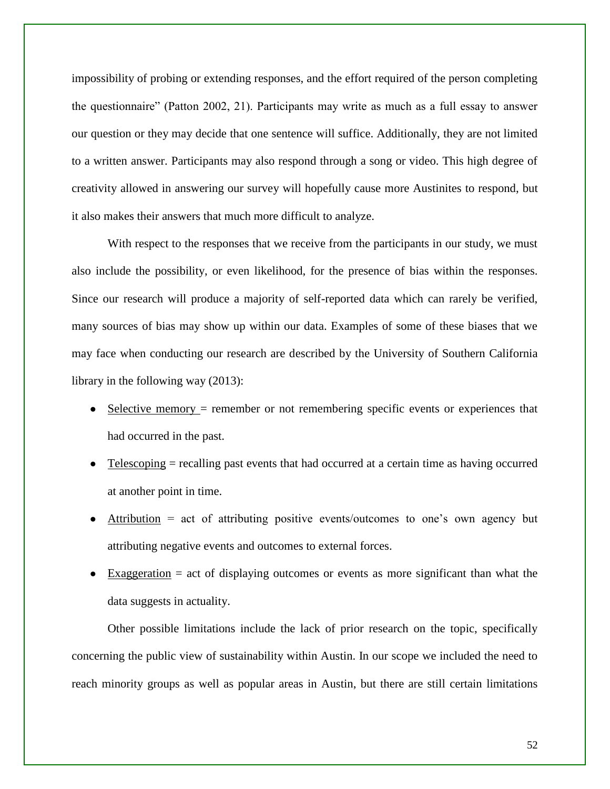impossibility of probing or extending responses, and the effort required of the person completing the questionnaire" (Patton 2002, 21). Participants may write as much as a full essay to answer our question or they may decide that one sentence will suffice. Additionally, they are not limited to a written answer. Participants may also respond through a song or video. This high degree of creativity allowed in answering our survey will hopefully cause more Austinites to respond, but it also makes their answers that much more difficult to analyze.

With respect to the responses that we receive from the participants in our study, we must also include the possibility, or even likelihood, for the presence of bias within the responses. Since our research will produce a majority of self-reported data which can rarely be verified, many sources of bias may show up within our data. Examples of some of these biases that we may face when conducting our research are described by the University of Southern California library in the following way (2013):

- Selective memory = remember or not remembering specific events or experiences that had occurred in the past.
- $Telescoping = recalling$  past events that had occurred at a certain time as having occurred at another point in time.
- Attribution  $=$  act of attributing positive events/outcomes to one's own agency but attributing negative events and outcomes to external forces.
- $Exaggeration = act of displaying outcomes or events as more significant than what the$ data suggests in actuality.

Other possible limitations include the lack of prior research on the topic, specifically concerning the public view of sustainability within Austin. In our scope we included the need to reach minority groups as well as popular areas in Austin, but there are still certain limitations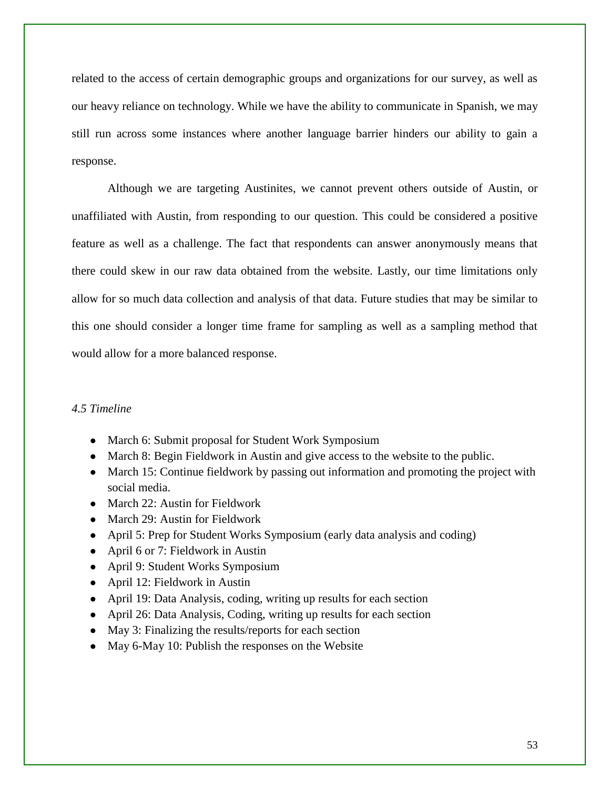related to the access of certain demographic groups and organizations for our survey, as well as our heavy reliance on technology. While we have the ability to communicate in Spanish, we may still run across some instances where another language barrier hinders our ability to gain a response.

Although we are targeting Austinites, we cannot prevent others outside of Austin, or unaffiliated with Austin, from responding to our question. This could be considered a positive feature as well as a challenge. The fact that respondents can answer anonymously means that there could skew in our raw data obtained from the website. Lastly, our time limitations only allow for so much data collection and analysis of that data. Future studies that may be similar to this one should consider a longer time frame for sampling as well as a sampling method that would allow for a more balanced response.

#### *4.5 Timeline*

- March 6: Submit proposal for Student Work Symposium
- March 8: Begin Fieldwork in Austin and give access to the website to the public.
- March 15: Continue fieldwork by passing out information and promoting the project with social media.
- March 22: Austin for Fieldwork
- March 29: Austin for Fieldwork
- April 5: Prep for Student Works Symposium (early data analysis and coding)
- April 6 or 7: Fieldwork in Austin
- April 9: Student Works Symposium
- April 12: Fieldwork in Austin
- April 19: Data Analysis, coding, writing up results for each section
- April 26: Data Analysis, Coding, writing up results for each section
- May 3: Finalizing the results/reports for each section
- May 6-May 10: Publish the responses on the Website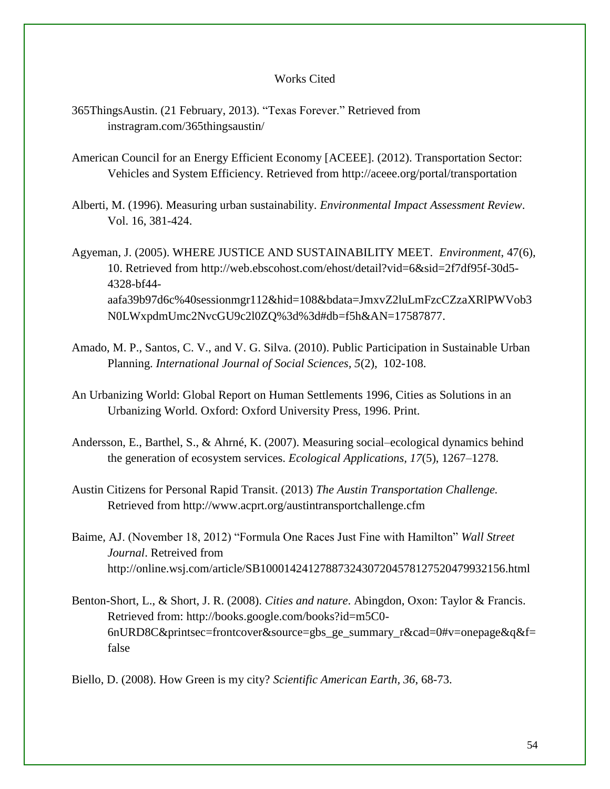#### Works Cited

- 365ThingsAustin. (21 February, 2013). "Texas Forever." Retrieved from instragram.com/365thingsaustin/
- American Council for an Energy Efficient Economy [ACEEE]. (2012). Transportation Sector: Vehicles and System Efficiency. Retrieved from http://aceee.org/portal/transportation
- Alberti, M. (1996). Measuring urban sustainability. *Environmental Impact Assessment Review*. Vol. 16, 381-424.
- Agyeman, J. (2005). WHERE JUSTICE AND SUSTAINABILITY MEET. *Environment*, 47(6), 10. Retrieved from [http://web.ebscohost.com/ehost/detail?vid=6&sid=2f7df95f-30d5-](http://web.ebscohost.com/ehost/detail?vid=6&sid=2f7df95f-30d5-4328-bf44-aafa39b97d6c%40sessionmgr112&hid=108&bdata=JmxvZ2luLmFzcCZzaXRlPWVob3N0LWxpdmUmc2NvcGU9c2l0ZQ%3d%3d#db=f5h&AN=17587877) [4328-bf44](http://web.ebscohost.com/ehost/detail?vid=6&sid=2f7df95f-30d5-4328-bf44-aafa39b97d6c%40sessionmgr112&hid=108&bdata=JmxvZ2luLmFzcCZzaXRlPWVob3N0LWxpdmUmc2NvcGU9c2l0ZQ%3d%3d#db=f5h&AN=17587877) [aafa39b97d6c%40sessionmgr112&hid=108&bdata=JmxvZ2luLmFzcCZzaXRlPWVob3](http://web.ebscohost.com/ehost/detail?vid=6&sid=2f7df95f-30d5-4328-bf44-aafa39b97d6c%40sessionmgr112&hid=108&bdata=JmxvZ2luLmFzcCZzaXRlPWVob3N0LWxpdmUmc2NvcGU9c2l0ZQ%3d%3d#db=f5h&AN=17587877) [N0LWxpdmUmc2NvcGU9c2l0ZQ%3d%3d#db=f5h&AN=17587877.](http://web.ebscohost.com/ehost/detail?vid=6&sid=2f7df95f-30d5-4328-bf44-aafa39b97d6c%40sessionmgr112&hid=108&bdata=JmxvZ2luLmFzcCZzaXRlPWVob3N0LWxpdmUmc2NvcGU9c2l0ZQ%3d%3d#db=f5h&AN=17587877)
- Amado, M. P., Santos, C. V., and V. G. Silva. (2010). Public Participation in Sustainable Urban Planning. *International Journal of Social Sciences, 5*(2), 102-108.
- An Urbanizing World: Global Report on Human Settlements 1996, Cities as Solutions in an Urbanizing World. Oxford: Oxford University Press, 1996. Print.
- Andersson, E., Barthel, S., & Ahrné, K. (2007). Measuring social–ecological dynamics behind the generation of ecosystem services. *Ecological Applications, 17*(5), 1267–1278.
- Austin Citizens for Personal Rapid Transit. (2013) *The Austin Transportation Challenge.*  Retrieved from <http://www.acprt.org/austintransportchallenge.cfm>
- Baime, AJ. (November 18, 2012) "Formula One Races Just Fine with Hamilton" *Wall Street Journal*. Retreived from http://online.wsj.com/article/SB10001424127887324307204578127520479932156.html
- Benton-Short, L., & Short, J. R. (2008). *Cities and nature*. Abingdon, Oxon: Taylor & Francis. Retrieved from: http://books.google.com/books?id=m5C0- 6nURD8C&printsec=frontcover&source=gbs\_ge\_summary\_r&cad=0#v=onepage&q&f= false

Biello, D. (2008). How Green is my city? *Scientific American Earth, 36*, 68-73.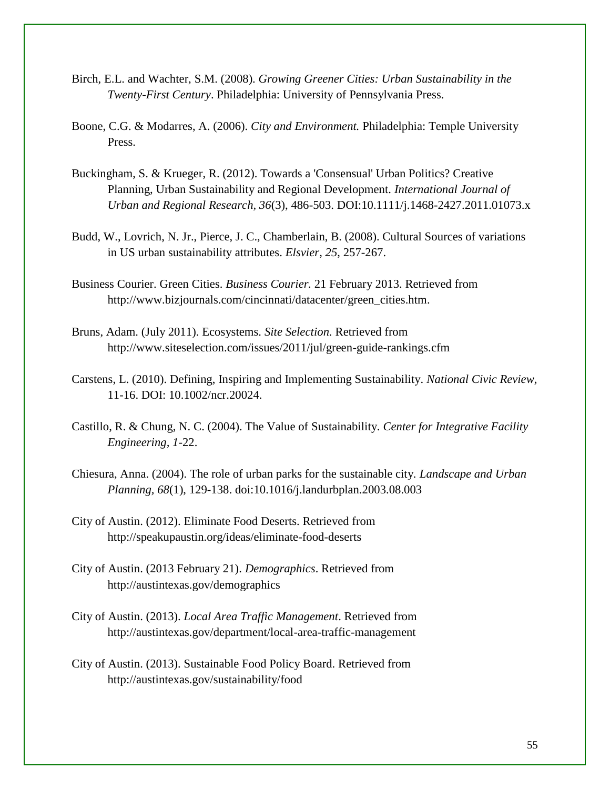- Birch, E.L. and Wachter, S.M. (2008). *Growing Greener Cities: Urban Sustainability in the Twenty-First Century*. Philadelphia: University of Pennsylvania Press.
- Boone, C.G. & Modarres, A. (2006). *City and Environment.* Philadelphia: Temple University Press.
- Buckingham, S. & Krueger, R. (2012). Towards a 'Consensual' Urban Politics? Creative Planning, Urban Sustainability and Regional Development. *International Journal of Urban and Regional Research, 36*(3), 486-503. DOI:10.1111/j.1468-2427.2011.01073.x
- Budd, W., Lovrich, N. Jr., Pierce, J. C., Chamberlain, B. (2008). Cultural Sources of variations in US urban sustainability attributes. *Elsvier, 25*, 257-267.
- Business Courier. Green Cities. *Business Courier.* 21 February 2013. Retrieved fro[m](http://www.bizjournals.com/cincinnati/datacenter/green_cities.htm) [http://www.bizjournals.com/cincinnati/datacenter/green\\_cities.htm.](http://www.bizjournals.com/cincinnati/datacenter/green_cities.htm)
- Bruns, Adam. (July 2011). Ecosystems. *Site Selection.* Retrieved from <http://www.siteselection.com/issues/2011/jul/green-guide-rankings.cfm>
- Carstens, L. (2010). Defining, Inspiring and Implementing Sustainability. *National Civic Review,*  11-16. DOI: 10.1002/ncr.20024.
- Castillo, R. & Chung, N. C. (2004). The Value of Sustainability. *Center for Integrative Facility Engineering, 1*-22.
- Chiesura, Anna. (2004). The role of urban parks for the sustainable city*. Landscape and Urban Planning, 68*(1), 129-138. doi:10.1016/j.landurbplan.2003.08.003
- City of Austin. (2012). Eliminate Food Deserts. Retrieved fro[m](http://speakupaustin.org/ideas/eliminate-food-deserts) <http://speakupaustin.org/ideas/eliminate-food-deserts>
- City of Austin. (2013 February 21). *Demographics*. Retrieved from http://austintexas.gov/demographics
- City of Austin. (2013). *Local Area Traffic Management*. Retrieved from http://austintexas.gov/department/local-area-traffic-management
- City of Austin. (2013). Sustainable Food Policy Board. Retrieved from http://austintexas.gov/sustainability/food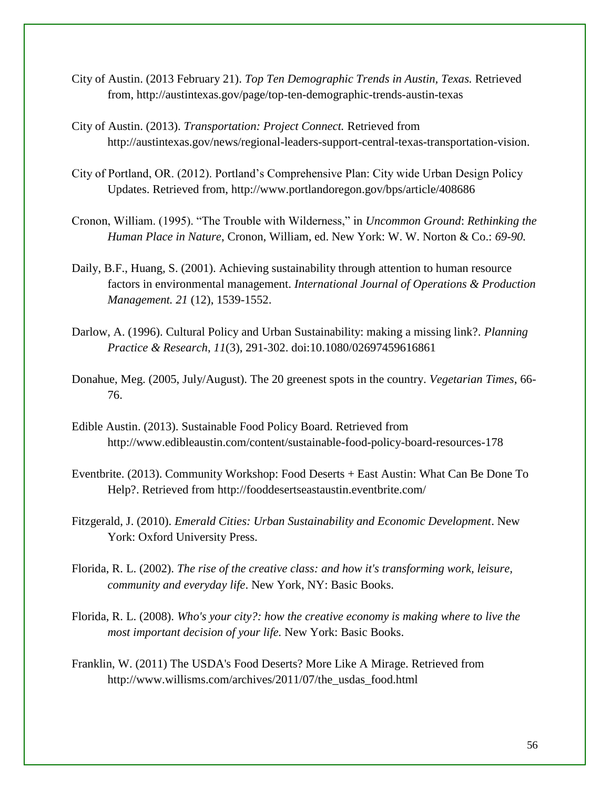- City of Austin. (2013 February 21). *Top Ten Demographic Trends in Austin, Texas.* Retrieved from, http://austintexas.gov/page/top-ten-demographic-trends-austin-texas
- City of Austin. (2013). *Transportation: Project Connect.* Retrieved from [http://austintexas.gov/news/regional-leaders-support-central-texas-transportation-vision.](http://austintexas.gov/news/regional-leaders-support-central-texas-transportation-vision)
- City of Portland, OR. (2012). Portland's Comprehensive Plan: City wide Urban Design Policy Updates. Retrieved from, http://www.portlandoregon.gov/bps/article/408686
- Cronon, William. (1995). "The Trouble with Wilderness," in *Uncommon Ground*: *Rethinking the Human Place in Nature*, Cronon, William, ed. New York: W. W. Norton & Co.: *69-90.*
- Daily, B.F., Huang, S. (2001). Achieving sustainability through attention to human resource factors in environmental management. *International Journal of Operations & Production Management. 21* (12), 1539-1552.
- Darlow, A. (1996). Cultural Policy and Urban Sustainability: making a missing link?. *Planning Practice & Research*, *11*(3), 291-302. doi:10.1080/02697459616861
- Donahue, Meg. (2005, July/August). The 20 greenest spots in the country. *Vegetarian Times*, 66- 76.
- Edible Austin. (2013). Sustainable Food Policy Board. Retrieved fro[m](http://www.edibleaustin.com/content/sustainable-food-policy-board-resources-178) <http://www.edibleaustin.com/content/sustainable-food-policy-board-resources-178>
- Eventbrite. (2013). Community Workshop: Food Deserts + East Austin: What Can Be Done To Help?. Retrieved from http://fooddesertseastaustin.eventbrite.com/
- Fitzgerald, J. (2010). *Emerald Cities: Urban Sustainability and Economic Development*. New York: Oxford University Press.
- Florida, R. L. (2002). *The rise of the creative class: and how it's transforming work, leisure, community and everyday life*. New York, NY: Basic Books.
- Florida, R. L. (2008). *Who's your city?: how the creative economy is making where to live the most important decision of your life.* New York: Basic Books.
- Franklin, W. (2011) The USDA's Food Deserts? More Like A Mirage. Retrieved from http://www.willisms.com/archives/2011/07/the\_usdas\_food.html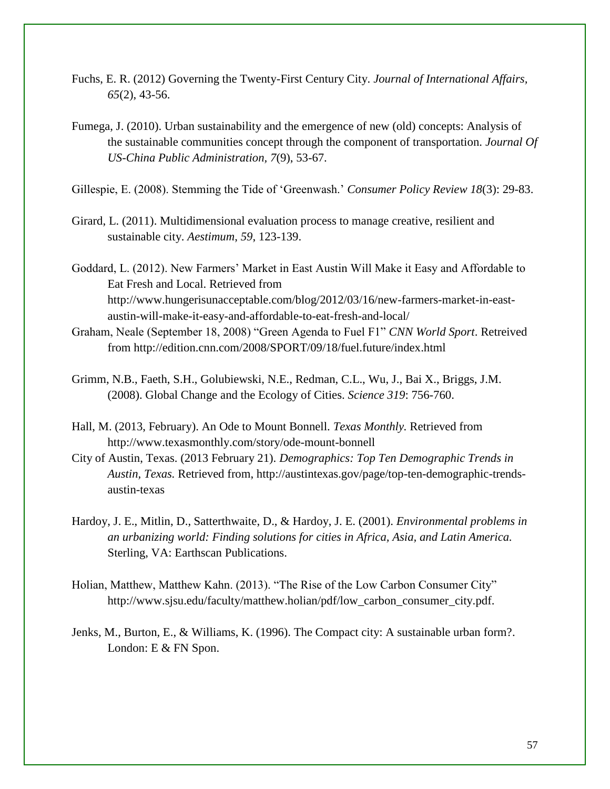- Fuchs, E. R. (2012) Governing the Twenty-First Century City. *Journal of International Affairs, 65*(2), 43-56.
- Fumega, J. (2010). Urban sustainability and the emergence of new (old) concepts: Analysis of the sustainable communities concept through the component of transportation. *Journal Of US-China Public Administration, 7*(9), 53-67.

Gillespie, E. (2008). Stemming the Tide of 'Greenwash.' *Consumer Policy Review 18*(3): 29-83.

- Girard, L. (2011). Multidimensional evaluation process to manage creative, resilient and sustainable city. *Aestimum*, *59*, 123-139.
- Goddard, L. (2012). New Farmers' Market in East Austin Will Make it Easy and Affordable to Eat Fresh and Local. Retrieved fro[m](http://www.hungerisunacceptable.com/blog/2012/03/16/new-farmers-market-in-east-austin-will-make-it-easy-and-affordable-to-eat-fresh-and-local/) [http://www.hungerisunacceptable.com/blog/2012/03/16/new-farmers-market-in-east](http://www.hungerisunacceptable.com/blog/2012/03/16/new-farmers-market-in-east-austin-will-make-it-easy-and-affordable-to-eat-fresh-and-local/)[austin-will-make-it-easy-and-affordable-to-eat-fresh-and-local/](http://www.hungerisunacceptable.com/blog/2012/03/16/new-farmers-market-in-east-austin-will-make-it-easy-and-affordable-to-eat-fresh-and-local/)
- Graham, Neale (September 18, 2008) "Green Agenda to Fuel F1" *CNN World Sport*. Retreived from http://edition.cnn.com/2008/SPORT/09/18/fuel.future/index.html
- Grimm, N.B., Faeth, S.H., Golubiewski, N.E., Redman, C.L., Wu, J., Bai X., Briggs, J.M. (2008). Global Change and the Ecology of Cities. *Science 319*: 756-760.
- Hall, M. (2013, February). An Ode to Mount Bonnell. *Texas Monthly.* Retrieved from http://www.texasmonthly.com/story/ode-mount-bonnell
- City of Austin, Texas. (2013 February 21). *Demographics: Top Ten Demographic Trends in Austin, Texas.* Retrieved from, http://austintexas.gov/page/top-ten-demographic-trendsaustin-texas
- Hardoy, J. E., Mitlin, D., Satterthwaite, D., & Hardoy, J. E. (2001). *Environmental problems in an urbanizing world: Finding solutions for cities in Africa, Asia, and Latin America.* Sterling, VA: Earthscan Publications.
- Holian, Matthew, Matthew Kahn. (2013). "The Rise of the Low Carbon Consumer City" http://www.sjsu.edu/faculty/matthew.holian/pdf/low\_carbon\_consumer\_city.pdf.
- Jenks, M., Burton, E., & Williams, K. (1996). The Compact city: A sustainable urban form?. London: E & FN Spon.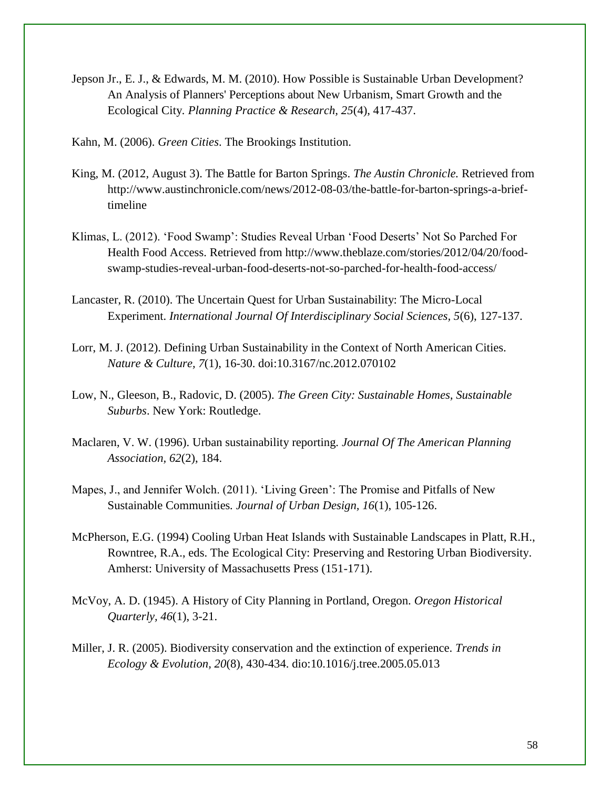- Jepson Jr., E. J., & Edwards, M. M. (2010). How Possible is Sustainable Urban Development? An Analysis of Planners' Perceptions about New Urbanism, Smart Growth and the Ecological City*. Planning Practice & Research, 25*(4), 417-437.
- Kahn, M. (2006). *Green Cities*. The Brookings Institution.
- King, M. (2012, August 3). The Battle for Barton Springs. *The Austin Chronicle.* Retrieved fro[m](http://www.austinchronicle.com/news/2012-08-03/the-battle-for-barton-springs-a-brief-timeline) [http://www.austinchronicle.com/news/2012-08-03/the-battle-for-barton-springs-a-brief](http://www.austinchronicle.com/news/2012-08-03/the-battle-for-barton-springs-a-brief-timeline)[timeline](http://www.austinchronicle.com/news/2012-08-03/the-battle-for-barton-springs-a-brief-timeline)
- Klimas, L. (2012). 'Food Swamp': Studies Reveal Urban 'Food Deserts' Not So Parched For Health Food Access. Retrieved from http://www.theblaze.com/stories/2012/04/20/foodswamp-studies-reveal-urban-food-deserts-not-so-parched-for-health-food-access/
- Lancaster, R. (2010). The Uncertain Quest for Urban Sustainability: The Micro-Local Experiment. *International Journal Of Interdisciplinary Social Sciences, 5*(6), 127-137.
- Lorr, M. J. (2012). Defining Urban Sustainability in the Context of North American Cities. *Nature & Culture, 7*(1), 16-30. doi:10.3167/nc.2012.070102
- Low, N., Gleeson, B., Radovic, D. (2005). *The Green City: Sustainable Homes, Sustainable Suburbs*. New York: Routledge.
- Maclaren, V. W. (1996). Urban sustainability reporting*. Journal Of The American Planning Association, 62*(2), 184.
- Mapes, J., and Jennifer Wolch. (2011). 'Living Green': The Promise and Pitfalls of New Sustainable Communities*. Journal of Urban Design, 16*(1), 105-126.
- McPherson, E.G. (1994) Cooling Urban Heat Islands with Sustainable Landscapes in Platt, R.H., Rowntree, R.A., eds. The Ecological City: Preserving and Restoring Urban Biodiversity. Amherst: University of Massachusetts Press (151-171).
- McVoy, A. D. (1945). A History of City Planning in Portland, Oregon. *Oregon Historical Quarterly, 46*(1), 3-21.
- Miller, J. R. (2005). Biodiversity conservation and the extinction of experience. *Trends in Ecology & Evolution, 20*(8), 430-434. dio:10.1016/j.tree.2005.05.013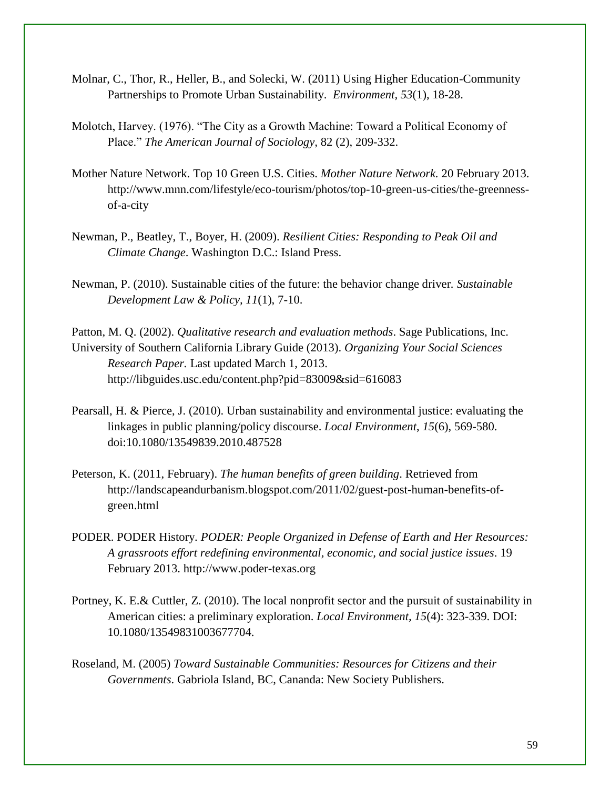- Molnar, C., Thor, R., Heller, B., and Solecki, W. (2011) Using Higher Education-Community Partnerships to Promote Urban Sustainability. *Environment, 53*(1), 18-28.
- Molotch, Harvey. (1976). "The City as a Growth Machine: Toward a Political Economy of Place." *The American Journal of Sociology,* 82 (2), 209-332.
- Mother Nature Network. Top 10 Green U.S. Cities. *Mother Nature Network.* 20 February 2013. http://www.mnn.com/lifestyle/eco-tourism/photos/top-10-green-us-cities/the-greennessof-a-city
- Newman, P., Beatley, T., Boyer, H. (2009). *Resilient Cities: Responding to Peak Oil and Climate Change*. Washington D.C.: Island Press.
- Newman, P. (2010). Sustainable cities of the future: the behavior change driver*. Sustainable Development Law & Policy, 11*(1), 7-10.
- Patton, M. Q. (2002). *Qualitative research and evaluation methods*. Sage Publications, Inc. University of Southern California Library Guide (2013). *Organizing Your Social Sciences Research Paper.* Last updated March 1, 2013. http://libguides.usc.edu/content.php?pid=83009&sid=616083
- Pearsall, H. & Pierce, J. (2010). Urban sustainability and environmental justice: evaluating the linkages in public planning/policy discourse. *Local Environment*, *15*(6), 569-580. doi:10.1080/13549839.2010.487528
- Peterson, K. (2011, February). *The human benefits of green building*. Retrieved fro[m](http://landscapeandurbanism.blogspot.com/2011/02/guest-post-human-benefits-of-green.html) [http://landscapeandurbanism.blogspot.com/2011/02/guest-post-human-benefits-of](http://landscapeandurbanism.blogspot.com/2011/02/guest-post-human-benefits-of-green.html)[green.html](http://landscapeandurbanism.blogspot.com/2011/02/guest-post-human-benefits-of-green.html)
- PODER. PODER History. *PODER: People Organized in Defense of Earth and Her Resources: A grassroots effort redefining environmental, economic, and social justice issues*. 19 February 2013. http://www.poder-texas.org
- Portney, K. E.& Cuttler, Z. (2010). The local nonprofit sector and the pursuit of sustainability in American cities: a preliminary exploration. *Local Environment, 15*(4): 323-339. DOI: 10.1080/13549831003677704.
- Roseland, M. (2005) *Toward Sustainable Communities: Resources for Citizens and their Governments*. Gabriola Island, BC, Cananda: New Society Publishers.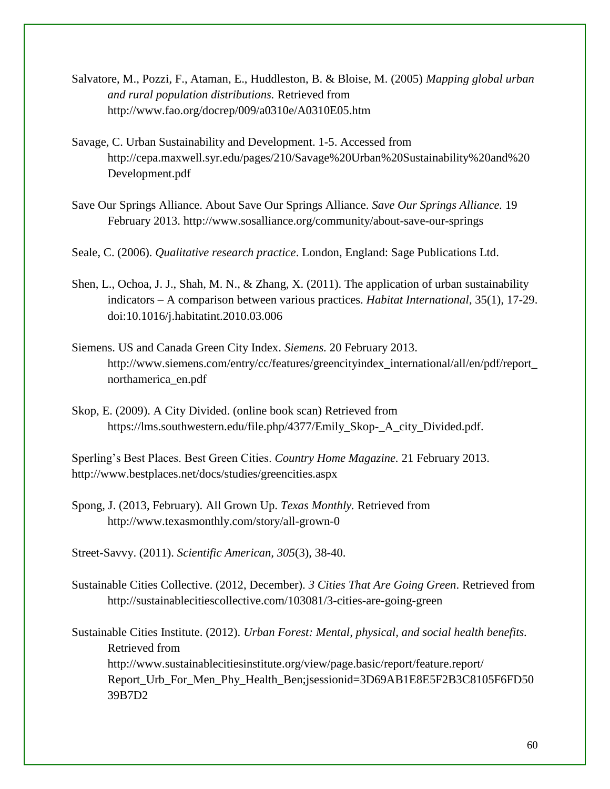- Salvatore, M., Pozzi, F., Ataman, E., Huddleston, B. & Bloise, M. (2005) *Mapping global urban and rural population distributions.* Retrieved from http://www.fao.org/docrep/009/a0310e/A0310E05.htm
- Savage, C. Urban Sustainability and Development. 1-5. Accessed fro[m](http://cepa.maxwell.syr.edu/pages/210/Savage%20Urban%20Sustainability%20and%20Development.pdf) [http://cepa.maxwell.syr.edu/pages/210/Savage%20Urban%20Sustainability%20and%20](http://cepa.maxwell.syr.edu/pages/210/Savage%20Urban%20Sustainability%20and%20Development.pdf) [Development.pdf](http://cepa.maxwell.syr.edu/pages/210/Savage%20Urban%20Sustainability%20and%20Development.pdf)
- Save Our Springs Alliance. About Save Our Springs Alliance. *Save Our Springs Alliance.* 19 February 2013. http://www.sosalliance.org/community/about-save-our-springs
- Seale, C. (2006). *Qualitative research practice*. London, England: Sage Publications Ltd.
- Shen, L., Ochoa, J. J., Shah, M. N., & Zhang, X. (2011). The application of urban sustainability indicators – A comparison between various practices. *Habitat International*, 35(1), 17-29. doi:10.1016/j.habitatint.2010.03.006
- Siemens. US and Canada Green City Index. *Siemens.* 20 February 2013. http://www.siemens.com/entry/cc/features/greencityindex\_international/all/en/pdf/report\_ northamerica\_en.pdf
- Skop, E. (2009). A City Divided. (online book scan) Retrieved fro[m](https://lms.southwestern.edu/file.php/4377/Emily_Skop-_A_city_Divided.pdf) [https://lms.southwestern.edu/file.php/4377/Emily\\_Skop-\\_A\\_city\\_Divided.pdf.](https://lms.southwestern.edu/file.php/4377/Emily_Skop-_A_city_Divided.pdf)

Sperling's Best Places. Best Green Cities. *Country Home Magazine.* 21 February 2013. http://www.bestplaces.net/docs/studies/greencities.aspx

Spong, J. (2013, February). All Grown Up. *Texas Monthly.* Retrieved from http://www.texasmonthly.com/story/all-grown-0

Street-Savvy. (2011). *Scientific American, 305*(3), 38-40.

- Sustainable Cities Collective. (2012, December). *3 Cities That Are Going Green*. Retrieved from http://sustainablecitiescollective.com/103081/3-cities-are-going-green
- Sustainable Cities Institute. (2012). *Urban Forest: Mental, physical, and social health benefits.*  Retrieved from http://www.sustainablecitiesinstitute.org/view/page.basic/report/feature.report/ Report\_Urb\_For\_Men\_Phy\_Health\_Ben;jsessionid=3D69AB1E8E5F2B3C8105F6FD50 39B7D2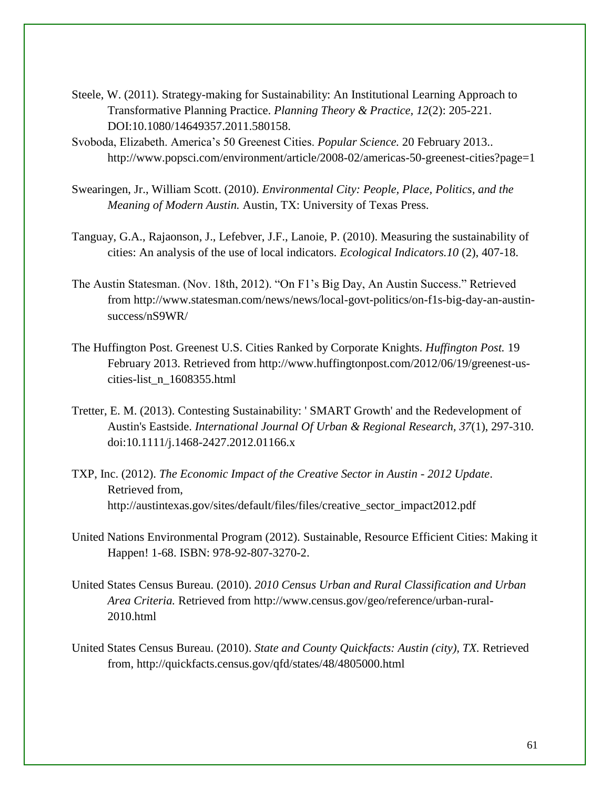- Steele, W. (2011). Strategy-making for Sustainability: An Institutional Learning Approach to Transformative Planning Practice. *Planning Theory & Practice, 12*(2): 205-221. DOI:10.1080/14649357.2011.580158.
- Svoboda, Elizabeth. America's 50 Greenest Cities. *Popular Science.* 20 February 2013.. http://www.popsci.com/environment/article/2008-02/americas-50-greenest-cities?page=1
- Swearingen, Jr., William Scott. (2010). *Environmental City: People, Place, Politics, and the Meaning of Modern Austin.* Austin, TX: University of Texas Press.
- Tanguay, G.A., Rajaonson, J., Lefebver, J.F., Lanoie, P. (2010). Measuring the sustainability of cities: An analysis of the use of local indicators. *Ecological Indicators.10* (2), 407-18.
- The Austin Statesman. (Nov. 18th, 2012). "On F1's Big Day, An Austin Success." Retrieved from http://www.statesman.com/news/news/local-govt-politics/on-f1s-big-day-an-austinsuccess/nS9WR/
- The Huffington Post. Greenest U.S. Cities Ranked by Corporate Knights. *Huffington Post.* 19 February 2013. Retrieved from http://www.huffingtonpost.com/2012/06/19/greenest-uscities-list\_n\_1608355.html
- Tretter, E. M. (2013). Contesting Sustainability: ' SMART Growth' and the Redevelopment of Austin's Eastside. *International Journal Of Urban & Regional Research, 37*(1), 297-310. doi:10.1111/j.1468-2427.2012.01166.x
- TXP, Inc. (2012). *The Economic Impact of the Creative Sector in Austin - 2012 Update*. Retrieved from, http://austintexas.gov/sites/default/files/files/creative\_sector\_impact2012.pdf
- United Nations Environmental Program (2012). Sustainable, Resource Efficient Cities: Making it Happen! 1-68. ISBN: 978-92-807-3270-2.
- United States Census Bureau. (2010). *2010 Census Urban and Rural Classification and Urban Area Criteria.* Retrieved from [http://www.census.gov/geo/reference/urban-rural-](http://www.census.gov/geo/reference/urban-rural-2010.html)[2010.html](http://www.census.gov/geo/reference/urban-rural-2010.html)
- United States Census Bureau. (2010). *State and County Quickfacts: Austin (city), TX.* Retrieved from, <http://quickfacts.census.gov/qfd/states/48/4805000.html>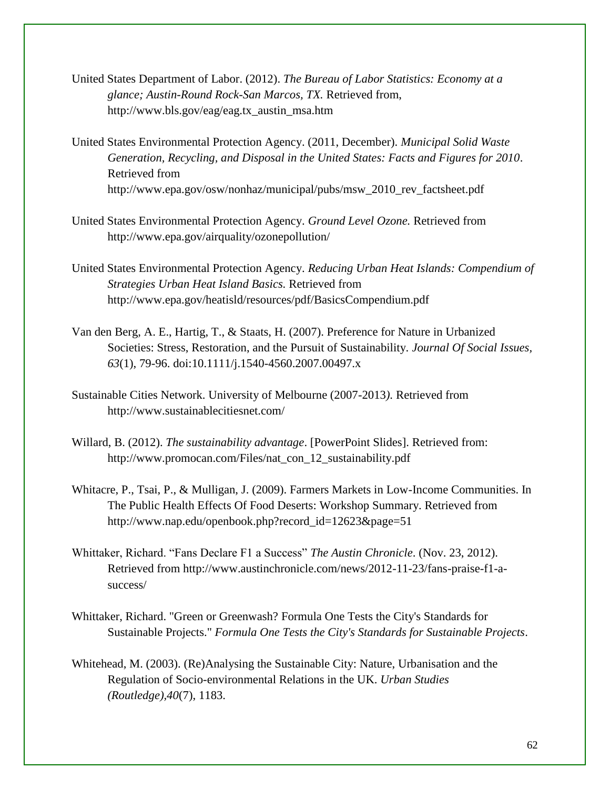- United States Department of Labor. (2012). *The Bureau of Labor Statistics: Economy at a glance; Austin-Round Rock-San Marcos, TX.* Retrieved from, http://www.bls.gov/eag/eag.tx\_austin\_msa.htm
- United States Environmental Protection Agency. (2011, December). *Municipal Solid Waste Generation, Recycling, and Disposal in the United States: Facts and Figures for 2010*. Retrieved from http://www.epa.gov/osw/nonhaz/municipal/pubs/msw\_2010\_rev\_factsheet.pdf
- United States Environmental Protection Agency. *Ground Level Ozone.* Retrieved from http://www.epa.gov/airquality/ozonepollution/
- United States Environmental Protection Agency. *Reducing Urban Heat Islands: Compendium of Strategies Urban Heat Island Basics.* Retrieved from http://www.epa.gov/heatisld/resources/pdf/BasicsCompendium.pdf
- Van den Berg, A. E., Hartig, T., & Staats, H. (2007). Preference for Nature in Urbanized Societies: Stress, Restoration, and the Pursuit of Sustainability. *Journal Of Social Issues, 63*(1), 79-96. doi:10.1111/j.1540-4560.2007.00497.x
- Sustainable Cities Network. University of Melbourne (2007-2013*).* Retrieved from http://www.sustainablecitiesnet.com/
- Willard, B. (2012). *The sustainability advantage*. [PowerPoint Slides]. Retrieved from[:](http://www.promocan.com/Files/nat_con_12_sustainability.pdf) [http://www.promocan.com/Files/nat\\_con\\_12\\_sustainability.pdf](http://www.promocan.com/Files/nat_con_12_sustainability.pdf)
- Whitacre, P., Tsai, P., & Mulligan, J. (2009). Farmers Markets in Low-Income Communities. In The Public Health Effects Of Food Deserts: Workshop Summary. Retrieved fro[m](http://www.nap.edu/openbook.php?record_id=12623&page=51) [http://www.nap.edu/openbook.php?record\\_id=12623&page=51](http://www.nap.edu/openbook.php?record_id=12623&page=51)
- Whittaker, Richard. "Fans Declare F1 a Success" *The Austin Chronicle*. (Nov. 23, 2012). Retrieved from [h](http://www.austinchronicle.com/news/2012-11-23/fans-praise-f1-a-success/)ttp://www.austinchronicle.com/news/2012-11-23/fans-praise-f1-asuccess/
- Whittaker, Richard. "Green or Greenwash? Formula One Tests the City's Standards for Sustainable Projects." *Formula One Tests the City's Standards for Sustainable Projects*.
- Whitehead, M. (2003). (Re)Analysing the Sustainable City: Nature, Urbanisation and the Regulation of Socio-environmental Relations in the UK. *Urban Studies (Routledge),40*(7), 1183.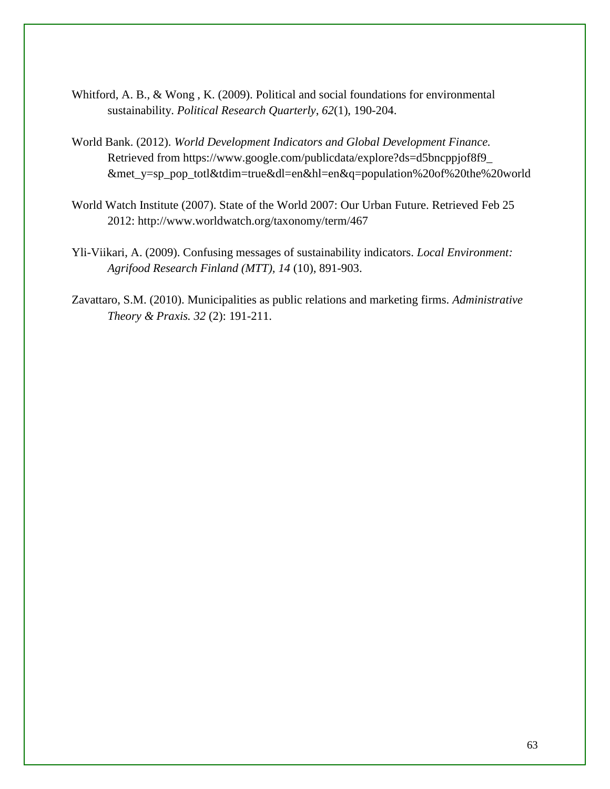- Whitford, A. B., & Wong , K. (2009). Political and social foundations for environmental sustainability. *Political Research Quarterly*, *62*(1), 190-204.
- World Bank. (2012). *World Development Indicators and Global Development Finance.*  Retrieved from https://www.google.com/publicdata/explore?ds=d5bncppjof8f9\_ &met\_y=sp\_pop\_totl&tdim=true&dl=en&hl=en&q=population%20of%20the%20world
- World Watch Institute (2007). State of the World 2007: Our Urban Future. Retrieved Feb 25 2012: [h](http://www.worldwatch.org/taxonomy/term/467)ttp://www.worldwatch.org/taxonomy/term/467
- Yli-Viikari, A. (2009). Confusing messages of sustainability indicators. *Local Environment: Agrifood Research Finland (MTT), 14* (10), 891-903.
- Zavattaro, S.M. (2010). Municipalities as public relations and marketing firms. *Administrative Theory & Praxis. 32* (2): 191-211.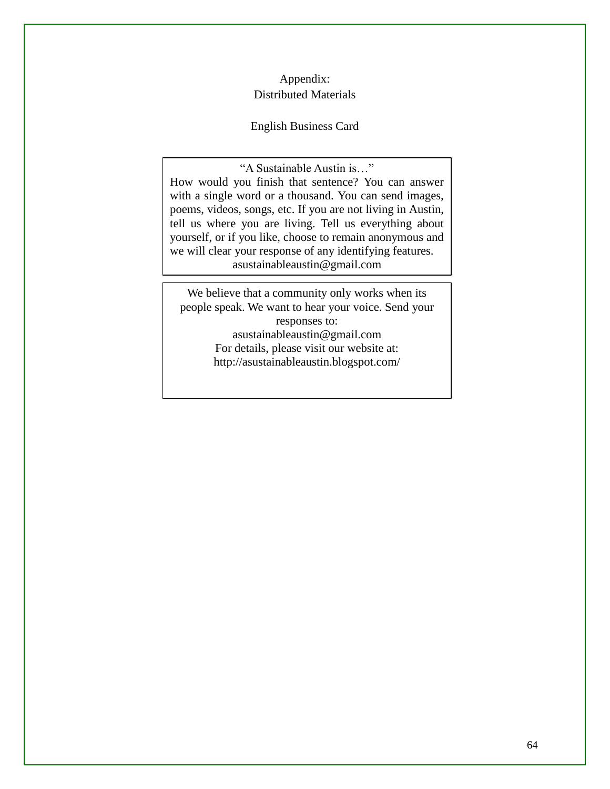#### Appendix: Distributed Materials

#### English Business Card

"A Sustainable Austin is…" How would you finish that sentence? You can answer with a single word or a thousand. You can send images, poems, videos, songs, etc. If you are not living in Austin, tell us where you are living. Tell us everything about yourself, or if you like, choose to remain anonymous and we will clear your response of any identifying features. asustainableaustin@gmail.com

We believe that a community only works when its people speak. We want to hear your voice. Send your responses to: asustainableaustin@gmail.com For details, please visit our website at: http://asustainableaustin.blogspot.com/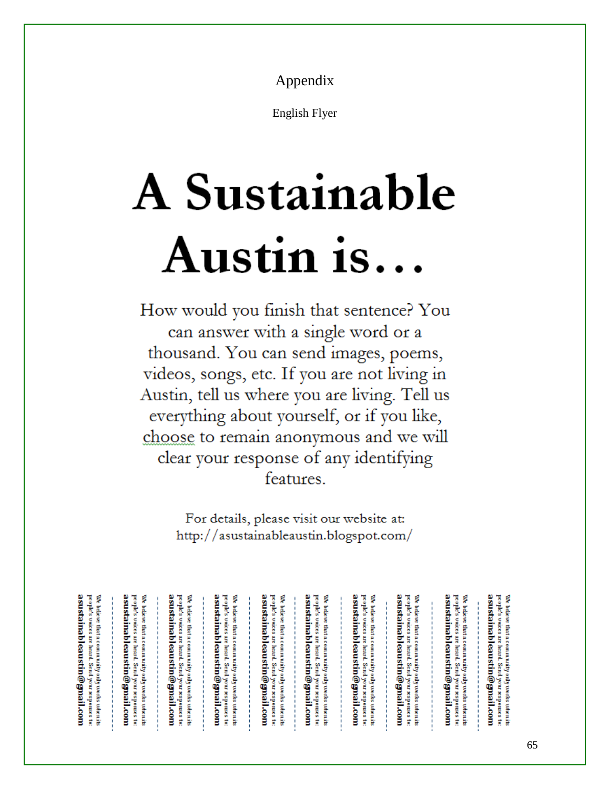Appendix

English Flyer

# **A Sustainable** Austin is...

How would you finish that sentence? You can answer with a single word or a thousand. You can send images, poems, videos, songs, etc. If you are not living in Austin, tell us where you are living. Tell us everything about yourself, or if you like, choose to remain anonymous and we will clear your response of any identifying features.

> For details, please visit our website at: http://asustainableaustin.blogspot.com/

| a su stainableau stin@gmail.com<br><u>ldaninabl</u><br>pe opie's<br>people's<br>We believe that a community only toorks tolientits<br>٢<br>believe that a community only works when its<br>vaices are<br>vaices are<br>eaustin@gnail.com<br>heart<br>heard.<br>Send your responses to:<br>Send your responses<br>ã | a su stainableau stin@gmail.com<br>asustainableaustin@gnail.com<br>people's voices are<br>pe opie's<br>We believe that a community only works valuatits<br>We believe that a community only works when its<br>vaices are<br>heard.<br>heart<br>Send your responses<br>Send your responses to:<br>ğ | asustainableaustin@gnail.com<br>asu stainableau stin@gnail.com<br>people's voices are<br>We believe that a community only works when its<br>٢<br>pe ople's<br>believe that a community only toorks tolientits<br>vaices are<br>heard.<br>heard.<br>Send your responses to:<br>Send your responses<br>ã | a su stainableau stin@gmail.com<br>a su stainableau stin@gmail.com<br>pe opie's<br>people's<br>We believe that a community only works valuatits<br>We believe that a community only works when its<br>vaices are<br>vaices are<br>hearth<br>heard.<br>Send your responses to:<br>Send<br>your responses<br>đ | asustainableaustin@gnail.com<br>a su stainableau stin@gmail.com<br>people's voices are heard.<br>pe opie's<br>We believe that a community only toorks tolientits<br>We believe that a community only works when its<br>vaices are<br>heard.<br>Send your responses to:<br>Send<br>your responses to: |
|--------------------------------------------------------------------------------------------------------------------------------------------------------------------------------------------------------------------------------------------------------------------------------------------------------------------|----------------------------------------------------------------------------------------------------------------------------------------------------------------------------------------------------------------------------------------------------------------------------------------------------|--------------------------------------------------------------------------------------------------------------------------------------------------------------------------------------------------------------------------------------------------------------------------------------------------------|--------------------------------------------------------------------------------------------------------------------------------------------------------------------------------------------------------------------------------------------------------------------------------------------------------------|------------------------------------------------------------------------------------------------------------------------------------------------------------------------------------------------------------------------------------------------------------------------------------------------------|
|--------------------------------------------------------------------------------------------------------------------------------------------------------------------------------------------------------------------------------------------------------------------------------------------------------------------|----------------------------------------------------------------------------------------------------------------------------------------------------------------------------------------------------------------------------------------------------------------------------------------------------|--------------------------------------------------------------------------------------------------------------------------------------------------------------------------------------------------------------------------------------------------------------------------------------------------------|--------------------------------------------------------------------------------------------------------------------------------------------------------------------------------------------------------------------------------------------------------------------------------------------------------------|------------------------------------------------------------------------------------------------------------------------------------------------------------------------------------------------------------------------------------------------------------------------------------------------------|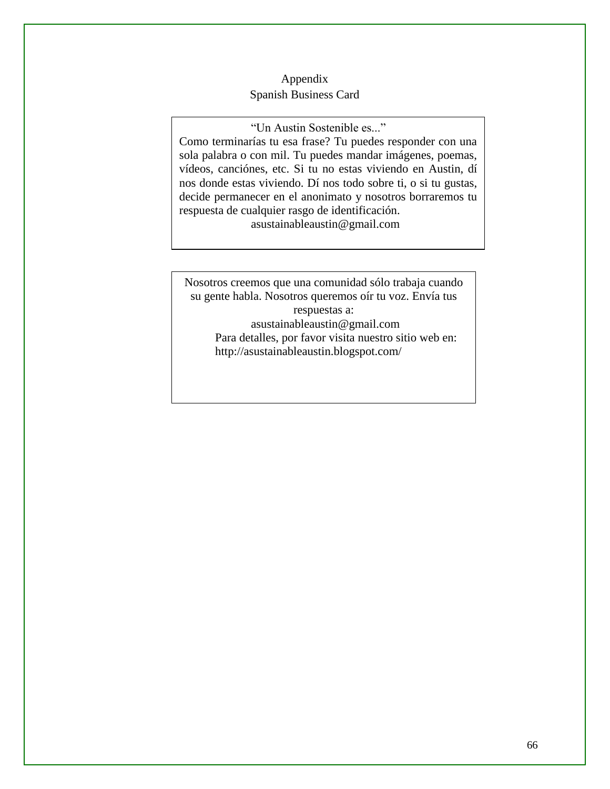#### Appendix Spanish Business Card

"Un Austin Sostenible es..."

Como terminarías tu esa frase? Tu puedes responder con una sola palabra o con mil. Tu puedes mandar imágenes, poemas, vídeos, canciónes, etc. Si tu no estas viviendo en Austin, dí nos donde estas viviendo. Dí nos todo sobre ti, o si tu gustas, decide permanecer en el anonimato y nosotros borraremos tu respuesta de cualquier rasgo de identificación. asustainableaustin@gmail.com

Nosotros creemos que una comunidad sólo trabaja cuando su gente habla. Nosotros queremos oír tu voz. Envía tus respuestas a: asustainableaustin@gmail.com Para detalles, por favor visita nuestro sitio web en: http://asustainableaustin.blogspot.com/